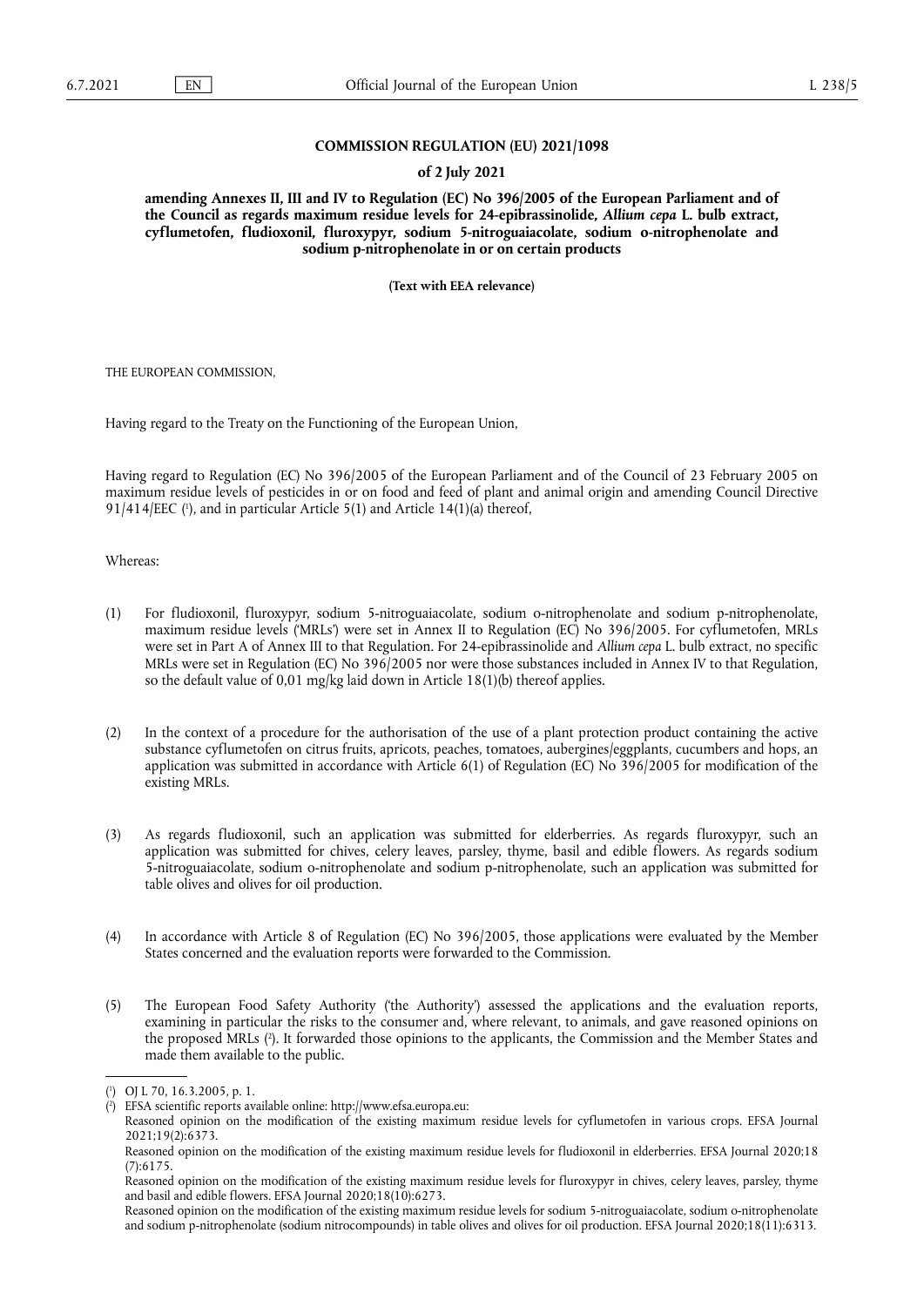# **COMMISSION REGULATION (EU) 2021/1098**

# **of 2 July 2021**

**amending Annexes II, III and IV to Regulation (EC) No 396/2005 of the European Parliament and of the Council as regards maximum residue levels for 24-epibrassinolide,** *Allium cepa* **L. bulb extract, cyflumetofen, fludioxonil, fluroxypyr, sodium 5-nitroguaiacolate, sodium o-nitrophenolate and sodium p-nitrophenolate in or on certain products** 

**(Text with EEA relevance)** 

THE EUROPEAN COMMISSION,

Having regard to the Treaty on the Functioning of the European Union,

<span id="page-0-2"></span>Having regard to Regulation (EC) No 396/2005 of the European Parliament and of the Council of 23 February 2005 on maximum residue levels of pesticides in or on food and feed of plant and animal origin and amending Council Directive  $91/414/EEC$  ( $\cdot$ [\),](#page-0-0) and in particular Article 5(1) and Article 14(1)(a) thereof,

Whereas:

- (1) For fludioxonil, fluroxypyr, sodium 5-nitroguaiacolate, sodium o-nitrophenolate and sodium p-nitrophenolate, maximum residue levels ('MRLs') were set in Annex II to Regulation (EC) No 396/2005. For cyflumetofen, MRLs were set in Part A of Annex III to that Regulation. For 24-epibrassinolide and *Allium cepa* L. bulb extract, no specific MRLs were set in Regulation (EC) No 396/2005 nor were those substances included in Annex IV to that Regulation, so the default value of 0,01 mg/kg laid down in Article 18(1)(b) thereof applies.
- (2) In the context of a procedure for the authorisation of the use of a plant protection product containing the active substance cyflumetofen on citrus fruits, apricots, peaches, tomatoes, aubergines/eggplants, cucumbers and hops, an application was submitted in accordance with Article 6(1) of Regulation (EC) No 396/2005 for modification of the existing MRLs.
- (3) As regards fludioxonil, such an application was submitted for elderberries. As regards fluroxypyr, such an application was submitted for chives, celery leaves, parsley, thyme, basil and edible flowers. As regards sodium 5-nitroguaiacolate, sodium o-nitrophenolate and sodium p-nitrophenolate, such an application was submitted for table olives and olives for oil production.
- (4) In accordance with Article 8 of Regulation (EC) No 396/2005, those applications were evaluated by the Member States concerned and the evaluation reports were forwarded to the Commission.
- <span id="page-0-3"></span>(5) The European Food Safety Authority ('the Authority') assessed the applications and the evaluation reports, examining in particular the risks to the consumer and, where relevant, to animals, and gave reasoned opinions on the proposed MRLs ( 2 [\).](#page-0-1) It forwarded those opinions to the applicants, the Commission and the Member States and made them available to the public.

<span id="page-0-0"></span>[<sup>\(</sup>](#page-0-2) 1 ) OJ L 70, 16.3.2005, p. 1.

<span id="page-0-1"></span>[<sup>\(</sup>](#page-0-3) 2 ) EFSA scientific reports available online: [http://www.efsa.europa.eu:](http://www.efsa.europa.eu)

Reasoned opinion on the modification of the existing maximum residue levels for cyflumetofen in various crops. EFSA Journal 2021;19(2):6373.

Reasoned opinion on the modification of the existing maximum residue levels for fludioxonil in elderberries. EFSA Journal 2020;18 (7):6175.

Reasoned opinion on the modification of the existing maximum residue levels for fluroxypyr in chives, celery leaves, parsley, thyme and basil and edible flowers. EFSA Journal 2020;18(10):6273.

Reasoned opinion on the modification of the existing maximum residue levels for sodium 5-nitroguaiacolate, sodium o-nitrophenolate and sodium p-nitrophenolate (sodium nitrocompounds) in table olives and olives for oil production. EFSA Journal 2020;18(11):6313.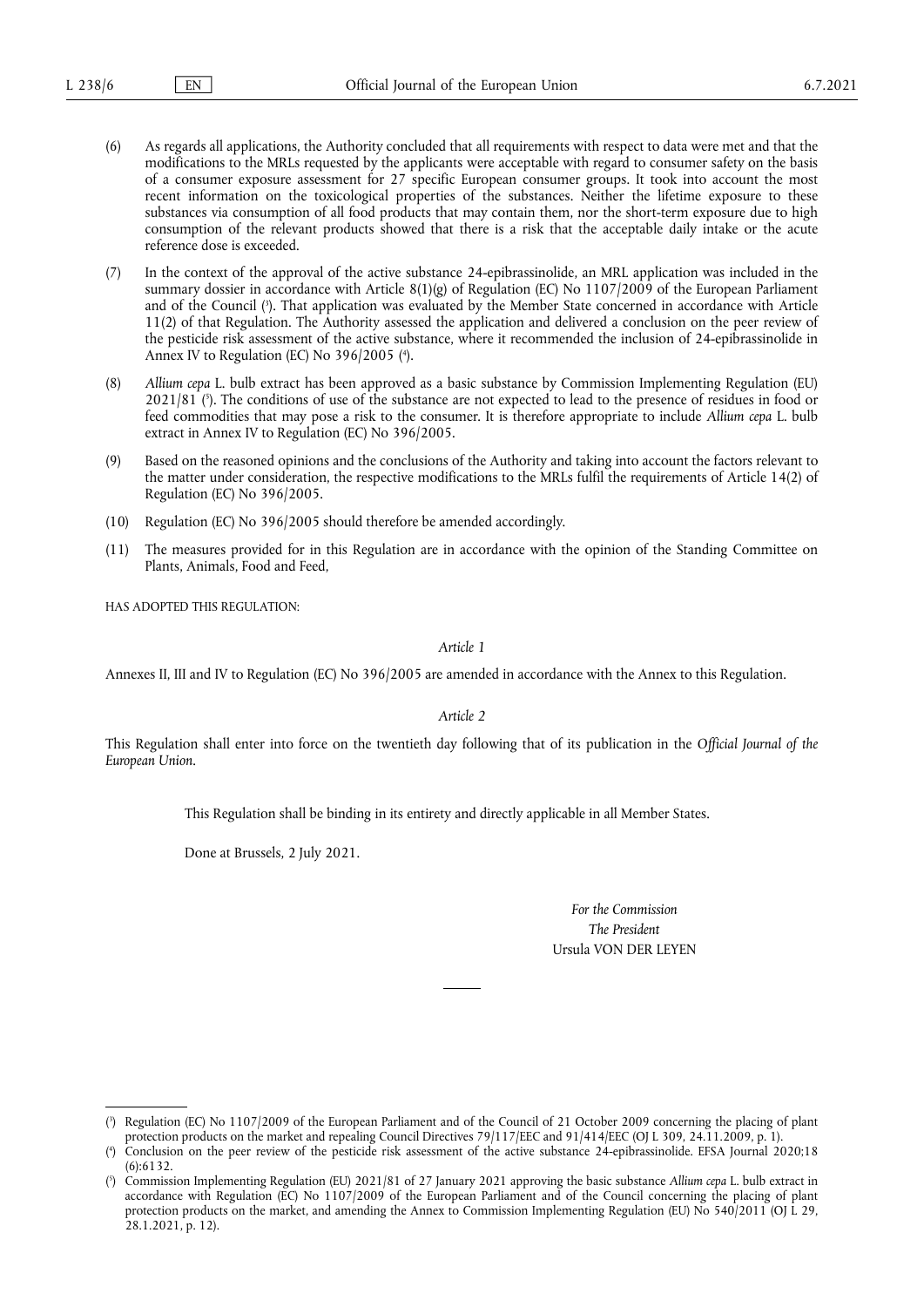- (6) As regards all applications, the Authority concluded that all requirements with respect to data were met and that the modifications to the MRLs requested by the applicants were acceptable with regard to consumer safety on the basis of a consumer exposure assessment for 27 specific European consumer groups. It took into account the most recent information on the toxicological properties of the substances. Neither the lifetime exposure to these substances via consumption of all food products that may contain them, nor the short-term exposure due to high consumption of the relevant products showed that there is a risk that the acceptable daily intake or the acute reference dose is exceeded.
- <span id="page-1-3"></span>(7) In the context of the approval of the active substance 24-epibrassinolide, an MRL application was included in the summary dossier in accordance with Article 8(1)(g) of Regulation (EC) No 1107/2009 of the European Parliament and of the Council ( 3 [\).](#page-1-0) That application was evaluated by the Member State concerned in accordance with Article 11(2) of that Regulation. The Authority assessed the application and delivered a conclusion on the peer review of the pesticide risk assessment of the active substance, where it recommended the inclusion of 24-epibrassinolide in Annex IV to Regulation (EC) No 396/2005 ( 4 [\).](#page-1-1)
- <span id="page-1-5"></span><span id="page-1-4"></span>(8) *Allium cepa* L. bulb extract has been approved as a basic substance by Commission Implementing Regulation (EU) 2021/81 ( 5 [\).](#page-1-2) The conditions of use of the substance are not expected to lead to the presence of residues in food or feed commodities that may pose a risk to the consumer. It is therefore appropriate to include *Allium cepa* L. bulb extract in Annex IV to Regulation (EC) No 396/2005.
- (9) Based on the reasoned opinions and the conclusions of the Authority and taking into account the factors relevant to the matter under consideration, the respective modifications to the MRLs fulfil the requirements of Article 14(2) of Regulation (EC) No 396/2005.
- (10) Regulation (EC) No 396/2005 should therefore be amended accordingly.
- (11) The measures provided for in this Regulation are in accordance with the opinion of the Standing Committee on Plants, Animals, Food and Feed,

HAS ADOPTED THIS REGULATION:

*Article 1*

Annexes II, III and IV to Regulation (EC) No 396/2005 are amended in accordance with the Annex to this Regulation.

*Article 2*

This Regulation shall enter into force on the twentieth day following that of its publication in the *Official Journal of the European Union*.

This Regulation shall be binding in its entirety and directly applicable in all Member States.

Done at Brussels, 2 July 2021.

*For the Commission The President* Ursula VON DER LEYEN

<span id="page-1-0"></span>[<sup>\(</sup>](#page-1-3) 3 ) Regulation (EC) No 1107/2009 of the European Parliament and of the Council of 21 October 2009 concerning the placing of plant protection products on the market and repealing Council Directives 79/117/EEC and 91/414/EEC (OJ L 309, 24.11.2009, p. 1).

<span id="page-1-1"></span> $($ <sup>4</sup> ) Conclusion on the peer review of the pesticide risk assessment of the active substance 24-epibrassinolide. EFSA Journal 2020;18 (6):6132.

<span id="page-1-2"></span>[<sup>\(</sup>](#page-1-5) 5 ) Commission Implementing Regulation (EU) 2021/81 of 27 January 2021 approving the basic substance *Allium cepa* L. bulb extract in accordance with Regulation (EC) No 1107/2009 of the European Parliament and of the Council concerning the placing of plant protection products on the market, and amending the Annex to Commission Implementing Regulation (EU) No 540/2011 (OJ L 29, 28.1.2021, p. 12).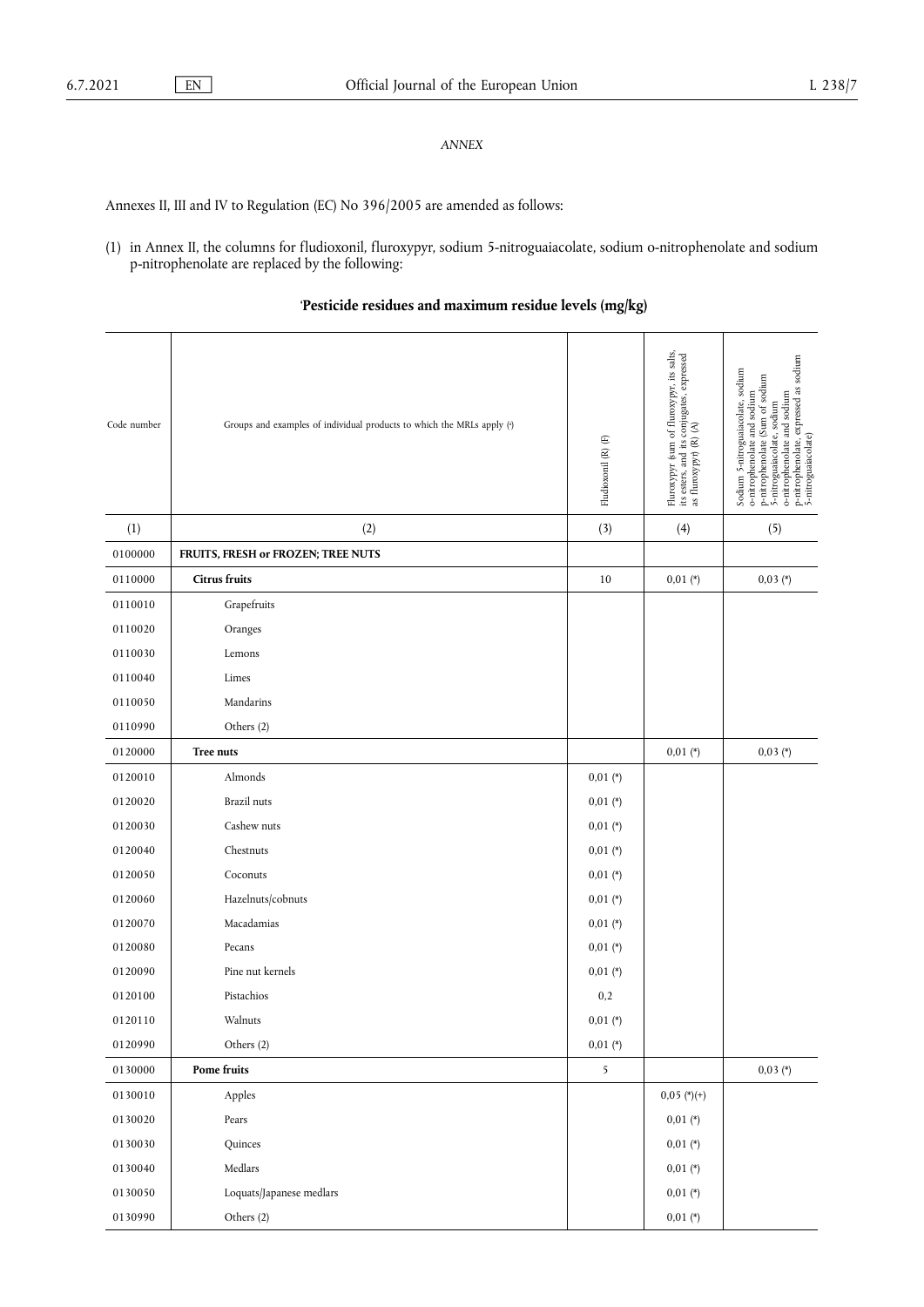# *ANNEX*

Annexes II, III and IV to Regulation (EC) No 396/2005 are amended as follows:

(1) in Annex II, the columns for fludioxonil, fluroxypyr, sodium 5-nitroguaiacolate, sodium o-nitrophenolate and sodium p-nitrophenolate are replaced by the following:

<span id="page-2-0"></span>'**Pesticide residues and maximum residue levels (mg/kg)**

<span id="page-2-1"></span>

| Code number | Groups and examples of individual products to which the MRLs apply (4) | Fludioxonil $(\mathbb{R})$ $(\mathbb{F})$ | Fluroxypyr (sum of fluroxypyr, its salts, its esters, and its conjugates, expressed as fluroxypyr) (R) $(A)$ | o-nitrophenolate and sodium<br>p-nitrophenolate, expressed as sodium<br>5-nitroguaiacolate)<br>Sodium 5-nitroguaiacolate, sodium<br>o-nitrophenolate and sodium<br>p-nitrophenolate (Sum of sodium<br>5-nitroguaiacolate, sodium |
|-------------|------------------------------------------------------------------------|-------------------------------------------|--------------------------------------------------------------------------------------------------------------|----------------------------------------------------------------------------------------------------------------------------------------------------------------------------------------------------------------------------------|
| (1)         | (2)                                                                    | (3)                                       | (4)                                                                                                          | (5)                                                                                                                                                                                                                              |
| 0100000     | FRUITS, FRESH or FROZEN; TREE NUTS                                     |                                           |                                                                                                              |                                                                                                                                                                                                                                  |
| 0110000     | Citrus fruits                                                          | 10                                        | $0,01$ (*)                                                                                                   | $0,03 (*)$                                                                                                                                                                                                                       |
| 0110010     | Grapefruits                                                            |                                           |                                                                                                              |                                                                                                                                                                                                                                  |
| 0110020     | Oranges                                                                |                                           |                                                                                                              |                                                                                                                                                                                                                                  |
| 0110030     | Lemons                                                                 |                                           |                                                                                                              |                                                                                                                                                                                                                                  |
| 0110040     | Limes                                                                  |                                           |                                                                                                              |                                                                                                                                                                                                                                  |
| 0110050     | Mandarins                                                              |                                           |                                                                                                              |                                                                                                                                                                                                                                  |
| 0110990     | Others (2)                                                             |                                           |                                                                                                              |                                                                                                                                                                                                                                  |
| 0120000     | Tree nuts                                                              |                                           | $0,01$ (*)                                                                                                   | $0,03 (*)$                                                                                                                                                                                                                       |
| 0120010     | Almonds                                                                | $0,01$ (*)                                |                                                                                                              |                                                                                                                                                                                                                                  |
| 0120020     | Brazil nuts                                                            | $0,01$ (*)                                |                                                                                                              |                                                                                                                                                                                                                                  |
| 0120030     | Cashew nuts                                                            | $0,01$ (*)                                |                                                                                                              |                                                                                                                                                                                                                                  |
| 0120040     | Chestnuts                                                              | $0,01 (*)$                                |                                                                                                              |                                                                                                                                                                                                                                  |
| 0120050     | Coconuts                                                               | $0,01$ (*)                                |                                                                                                              |                                                                                                                                                                                                                                  |
| 0120060     | Hazelnuts/cobnuts                                                      | $0,01 (*)$                                |                                                                                                              |                                                                                                                                                                                                                                  |
| 0120070     | Macadamias                                                             | $0,01$ (*)                                |                                                                                                              |                                                                                                                                                                                                                                  |
| 0120080     | Pecans                                                                 | $0,01$ (*)                                |                                                                                                              |                                                                                                                                                                                                                                  |
| 0120090     | Pine nut kernels                                                       | $0,01 (*)$                                |                                                                                                              |                                                                                                                                                                                                                                  |
| 0120100     | Pistachios                                                             | 0,2                                       |                                                                                                              |                                                                                                                                                                                                                                  |
| 0120110     | Walnuts                                                                | $0,01$ (*)                                |                                                                                                              |                                                                                                                                                                                                                                  |
| 0120990     | Others (2)                                                             | $0,01$ (*)                                |                                                                                                              |                                                                                                                                                                                                                                  |
| 0130000     | Pome fruits                                                            | 5                                         |                                                                                                              | $0,03$ (*)                                                                                                                                                                                                                       |
| 0130010     | Apples                                                                 |                                           | $0,05$ (*)(+)                                                                                                |                                                                                                                                                                                                                                  |
| 0130020     | Pears                                                                  |                                           | $0,01$ (*)                                                                                                   |                                                                                                                                                                                                                                  |
| 0130030     | Quinces                                                                |                                           | $0,01$ (*)                                                                                                   |                                                                                                                                                                                                                                  |
| 0130040     | Medlars                                                                |                                           | $0,01$ (*)                                                                                                   |                                                                                                                                                                                                                                  |
| 0130050     | Loquats/Japanese medlars                                               |                                           | $0,01$ (*)                                                                                                   |                                                                                                                                                                                                                                  |
| 0130990     | Others (2)                                                             |                                           | $0.01\ (\text{*})$                                                                                           |                                                                                                                                                                                                                                  |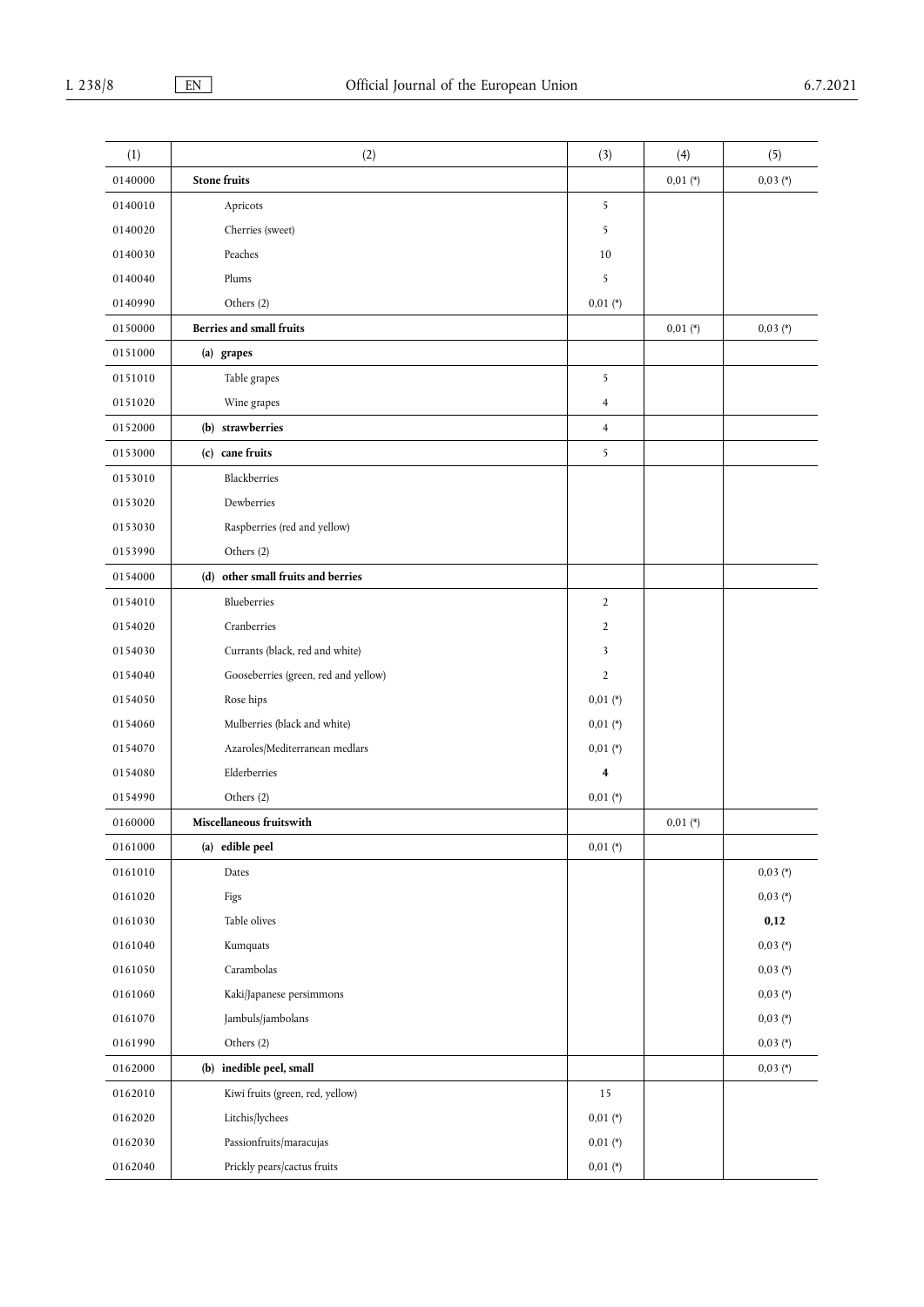| (1)     | (2)                                  | (3)            | (4)        | (5)        |
|---------|--------------------------------------|----------------|------------|------------|
| 0140000 | <b>Stone fruits</b>                  |                | $0,01 (*)$ | $0,03 (*)$ |
| 0140010 | Apricots                             | 5              |            |            |
| 0140020 | Cherries (sweet)                     | 5              |            |            |
| 0140030 | Peaches                              | 10             |            |            |
| 0140040 | Plums                                | 5              |            |            |
| 0140990 | Others (2)                           | $0,01 (*)$     |            |            |
| 0150000 | Berries and small fruits             |                | $0,01 (*)$ | $0,03 (*)$ |
| 0151000 | (a) grapes                           |                |            |            |
| 0151010 | Table grapes                         | 5              |            |            |
| 0151020 | Wine grapes                          | 4              |            |            |
| 0152000 | (b) strawberries                     | $\overline{4}$ |            |            |
| 0153000 | (c) cane fruits                      | 5              |            |            |
| 0153010 | Blackberries                         |                |            |            |
| 0153020 | Dewberries                           |                |            |            |
| 0153030 | Raspberries (red and yellow)         |                |            |            |
| 0153990 | Others (2)                           |                |            |            |
| 0154000 | (d) other small fruits and berries   |                |            |            |
| 0154010 | Blueberries                          | $\overline{2}$ |            |            |
| 0154020 | Cranberries                          | $\overline{2}$ |            |            |
| 0154030 | Currants (black, red and white)      | 3              |            |            |
| 0154040 | Gooseberries (green, red and yellow) | $\overline{2}$ |            |            |
| 0154050 | Rose hips                            | $0,01$ (*)     |            |            |
| 0154060 | Mulberries (black and white)         | $0,01$ (*)     |            |            |
| 0154070 | Azaroles/Mediterranean medlars       | $0,01 (*)$     |            |            |
| 0154080 | Elderberries                         | 4              |            |            |
| 0154990 | Others (2)                           | $0,01 (*)$     |            |            |
| 0160000 | Miscellaneous fruitswith             |                | $0,01 (*)$ |            |
| 0161000 | (a) edible peel                      | $0,01$ (*)     |            |            |
| 0161010 | Dates                                |                |            | $0,03$ (*) |
| 0161020 | Figs                                 |                |            | $0,03 (*)$ |
| 0161030 | Table olives                         |                |            | 0,12       |
| 0161040 | Kumquats                             |                |            | $0,03(*)$  |
| 0161050 | Carambolas                           |                |            | $0,03$ (*) |
| 0161060 | Kaki/Japanese persimmons             |                |            | $0,03 (*)$ |
| 0161070 | Jambuls/jambolans                    |                |            | $0,03 (*)$ |
| 0161990 | Others (2)                           |                |            | $0,03 (*)$ |
| 0162000 | (b) inedible peel, small             |                |            | $0,03 (*)$ |
| 0162010 | Kiwi fruits (green, red, yellow)     | 15             |            |            |
| 0162020 | Litchis/lychees                      | $0,01$ (*)     |            |            |
| 0162030 | Passionfruits/maracujas              | $0,01 (*)$     |            |            |
| 0162040 | Prickly pears/cactus fruits          | $0,01 (*)$     |            |            |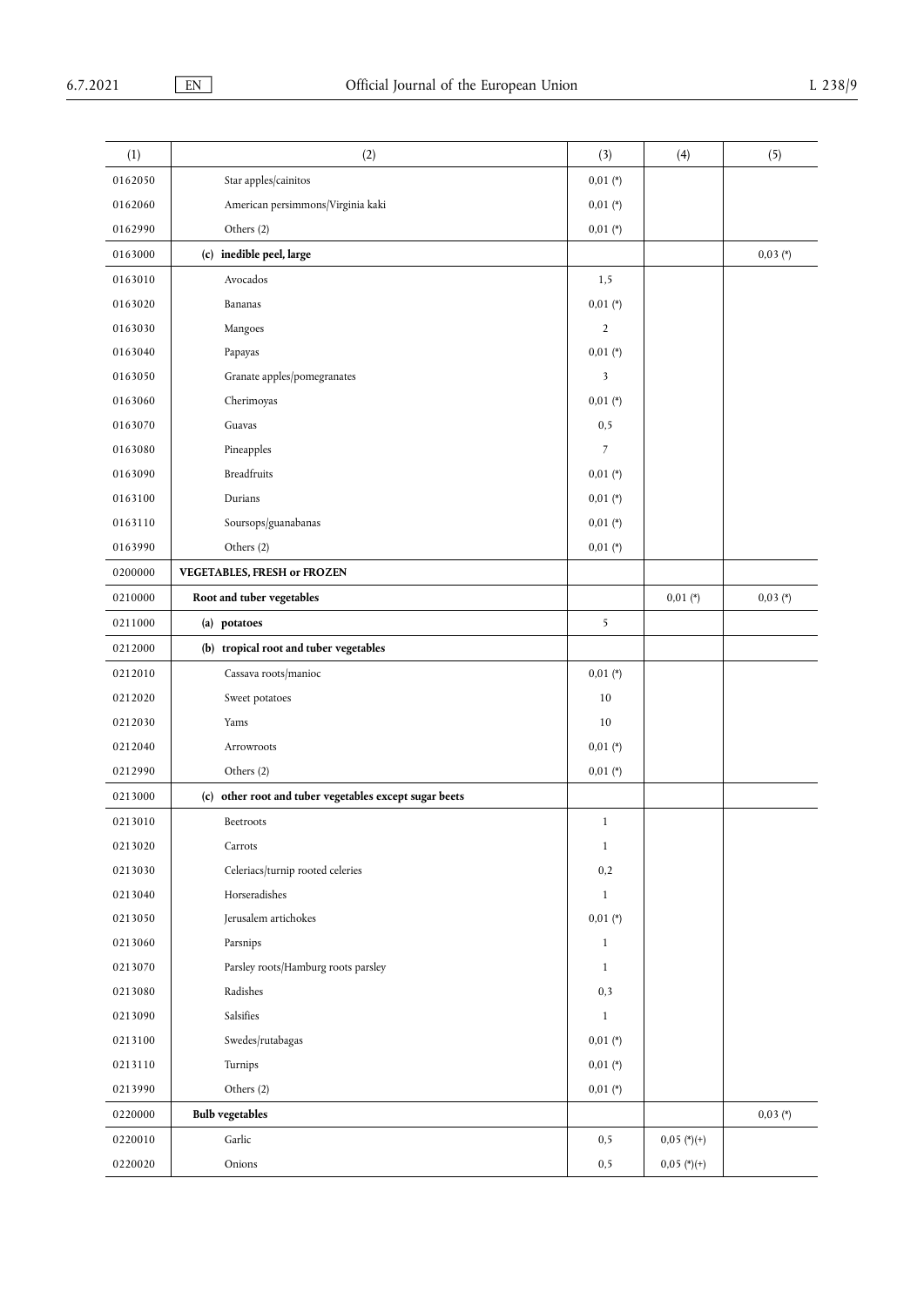| (1)     | (2)                                                    | (3)            | (4)           | (5)        |
|---------|--------------------------------------------------------|----------------|---------------|------------|
| 0162050 | Star apples/cainitos                                   | $0,01$ (*)     |               |            |
| 0162060 | American persimmons/Virginia kaki                      | $0,01$ (*)     |               |            |
| 0162990 | Others (2)                                             | $0,01$ (*)     |               |            |
| 0163000 | (c) inedible peel, large                               |                |               | $0,03 (*)$ |
| 0163010 | Avocados                                               | 1, 5           |               |            |
| 0163020 | Bananas                                                | $0,01 (*)$     |               |            |
| 0163030 | Mangoes                                                | $\overline{2}$ |               |            |
| 0163040 | Papayas                                                | $0,01 (*)$     |               |            |
| 0163050 | Granate apples/pomegranates                            | 3              |               |            |
| 0163060 | Cherimoyas                                             | $0,01$ (*)     |               |            |
| 0163070 | Guavas                                                 | 0, 5           |               |            |
| 0163080 | Pineapples                                             | 7              |               |            |
| 0163090 | <b>Breadfruits</b>                                     | $0,01$ (*)     |               |            |
| 0163100 | Durians                                                | $0,01 (*)$     |               |            |
| 0163110 | Soursops/guanabanas                                    | $0,01$ (*)     |               |            |
| 0163990 | Others (2)                                             | $0,01 (*)$     |               |            |
| 0200000 | VEGETABLES, FRESH or FROZEN                            |                |               |            |
| 0210000 | Root and tuber vegetables                              |                | $0,01 (*)$    | $0,03 (*)$ |
| 0211000 | (a) potatoes                                           | 5              |               |            |
| 0212000 | (b) tropical root and tuber vegetables                 |                |               |            |
| 0212010 | Cassava roots/manioc                                   | $0,01$ (*)     |               |            |
| 0212020 | Sweet potatoes                                         | 10             |               |            |
| 0212030 | Yams                                                   | 10             |               |            |
| 0212040 | Arrowroots                                             | $0,01 (*)$     |               |            |
| 0212990 | Others (2)                                             | $0,01 (*)$     |               |            |
| 0213000 | (c) other root and tuber vegetables except sugar beets |                |               |            |
| 0213010 | Beetroots                                              | $\mathbf{1}$   |               |            |
| 0213020 | Carrots                                                | $\mathbf{1}$   |               |            |
| 0213030 | Celeriacs/turnip rooted celeries                       | 0,2            |               |            |
| 0213040 | Horseradishes                                          | $\mathbf{1}$   |               |            |
| 0213050 | Jerusalem artichokes                                   | $0,01 (*)$     |               |            |
| 0213060 | Parsnips                                               | $\mathbf{1}$   |               |            |
| 0213070 | Parsley roots/Hamburg roots parsley                    | $\mathbf{1}$   |               |            |
| 0213080 | Radishes                                               | 0,3            |               |            |
| 0213090 | Salsifies                                              | $\mathbf{1}$   |               |            |
| 0213100 | Swedes/rutabagas                                       | $0,01$ (*)     |               |            |
| 0213110 | Turnips                                                | $0,01$ (*)     |               |            |
| 0213990 | Others (2)                                             | $0.01$ (*)     |               |            |
| 0220000 | <b>Bulb</b> vegetables                                 |                |               | $0,03 (*)$ |
| 0220010 | Garlic                                                 | 0, 5           | $0,05$ (*)(+) |            |
| 0220020 | Onions                                                 | 0, 5           | $0,05$ (*)(+) |            |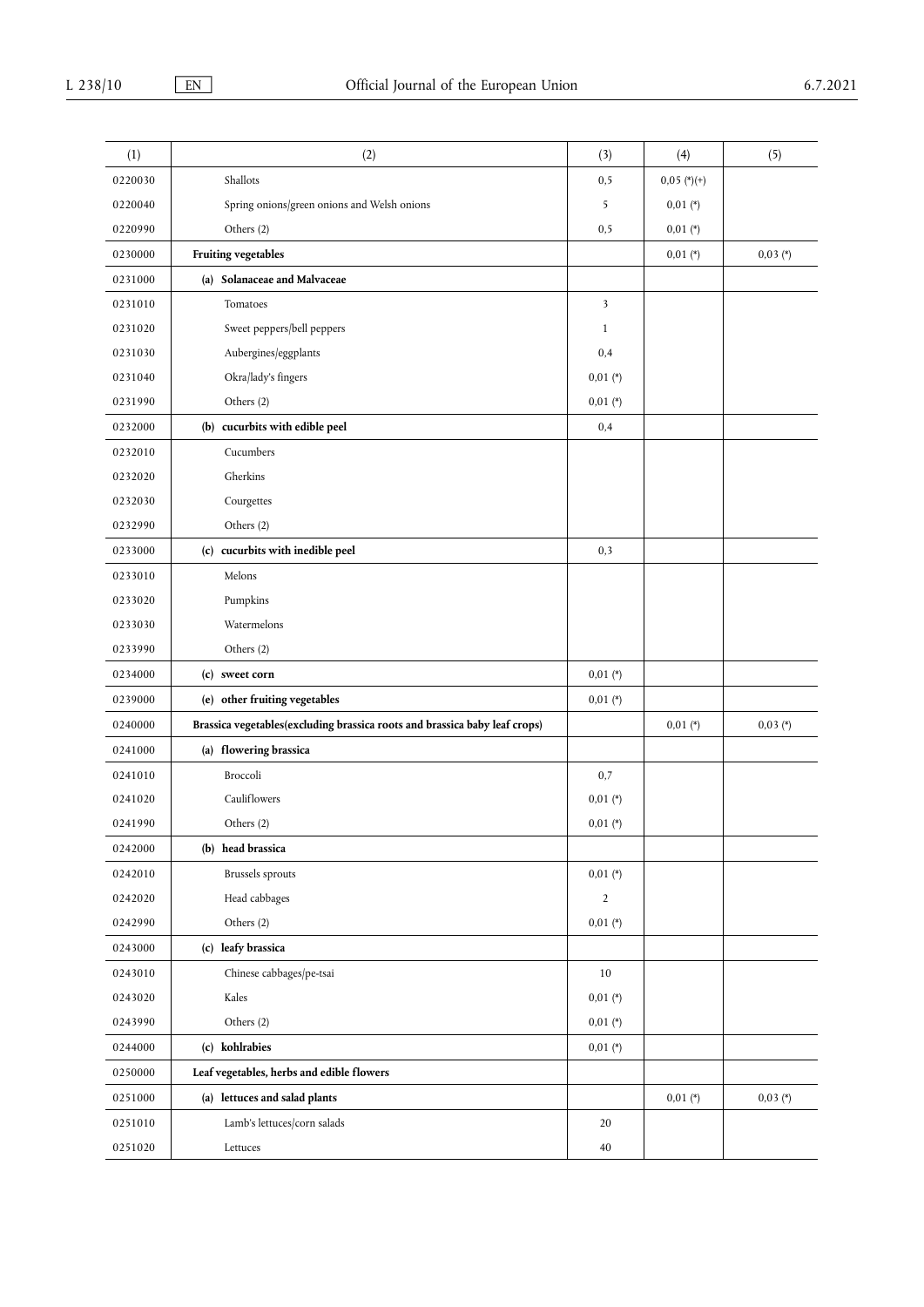| (1)     | (2)                                                                        | (3)                     | (4)           | (5)        |
|---------|----------------------------------------------------------------------------|-------------------------|---------------|------------|
| 0220030 | Shallots                                                                   | 0, 5                    | $0,05$ (*)(+) |            |
| 0220040 | Spring onions/green onions and Welsh onions                                | 5                       | $0,01$ (*)    |            |
| 0220990 | Others (2)                                                                 | 0, 5                    | $0,01$ (*)    |            |
| 0230000 | Fruiting vegetables                                                        |                         | $0,01$ (*)    | $0,03 (*)$ |
| 0231000 | (a) Solanaceae and Malvaceae                                               |                         |               |            |
| 0231010 | Tomatoes                                                                   | $\overline{\mathbf{3}}$ |               |            |
| 0231020 | Sweet peppers/bell peppers                                                 | $\mathbf{1}$            |               |            |
| 0231030 | Aubergines/eggplants                                                       | 0,4                     |               |            |
| 0231040 | Okra/lady's fingers                                                        | $0,01 (*)$              |               |            |
| 0231990 | Others (2)                                                                 | $0,01$ (*)              |               |            |
| 0232000 | (b) cucurbits with edible peel                                             | 0,4                     |               |            |
| 0232010 | Cucumbers                                                                  |                         |               |            |
| 0232020 | Gherkins                                                                   |                         |               |            |
| 0232030 | Courgettes                                                                 |                         |               |            |
| 0232990 | Others (2)                                                                 |                         |               |            |
| 0233000 | (c) cucurbits with inedible peel                                           | 0,3                     |               |            |
| 0233010 | Melons                                                                     |                         |               |            |
| 0233020 | Pumpkins                                                                   |                         |               |            |
| 0233030 | Watermelons                                                                |                         |               |            |
| 0233990 | Others (2)                                                                 |                         |               |            |
| 0234000 | (c) sweet corn                                                             | $0,01$ (*)              |               |            |
| 0239000 | (e) other fruiting vegetables                                              | $0,01 (*)$              |               |            |
| 0240000 | Brassica vegetables(excluding brassica roots and brassica baby leaf crops) |                         | $0,01$ (*)    | $0,03 (*)$ |
| 0241000 | (a) flowering brassica                                                     |                         |               |            |
| 0241010 | Broccoli                                                                   | 0,7                     |               |            |
| 0241020 | Cauliflowers                                                               | $0,01$ (*)              |               |            |
| 0241990 | Others (2)                                                                 | $0,01$ (*)              |               |            |
| 0242000 | (b) head brassica                                                          |                         |               |            |
| 0242010 | Brussels sprouts                                                           | $0,01 (*)$              |               |            |
| 0242020 | Head cabbages                                                              | $\sqrt{2}$              |               |            |
| 0242990 | Others (2)                                                                 | $0,01$ (*)              |               |            |
| 0243000 | (c) leafy brassica                                                         |                         |               |            |
| 0243010 | Chinese cabbages/pe-tsai                                                   | 10                      |               |            |
| 0243020 | Kales                                                                      | $0,01 (*)$              |               |            |
| 0243990 | Others (2)                                                                 | $0,01$ (*)              |               |            |
| 0244000 | (c) kohlrabies                                                             | $0,01 (*)$              |               |            |
| 0250000 | Leaf vegetables, herbs and edible flowers                                  |                         |               |            |
| 0251000 | (a) lettuces and salad plants                                              |                         | $0,01$ (*)    | $0,03 (*)$ |
| 0251010 | Lamb's lettuces/corn salads                                                | 20                      |               |            |
| 0251020 | Lettuces                                                                   | 40                      |               |            |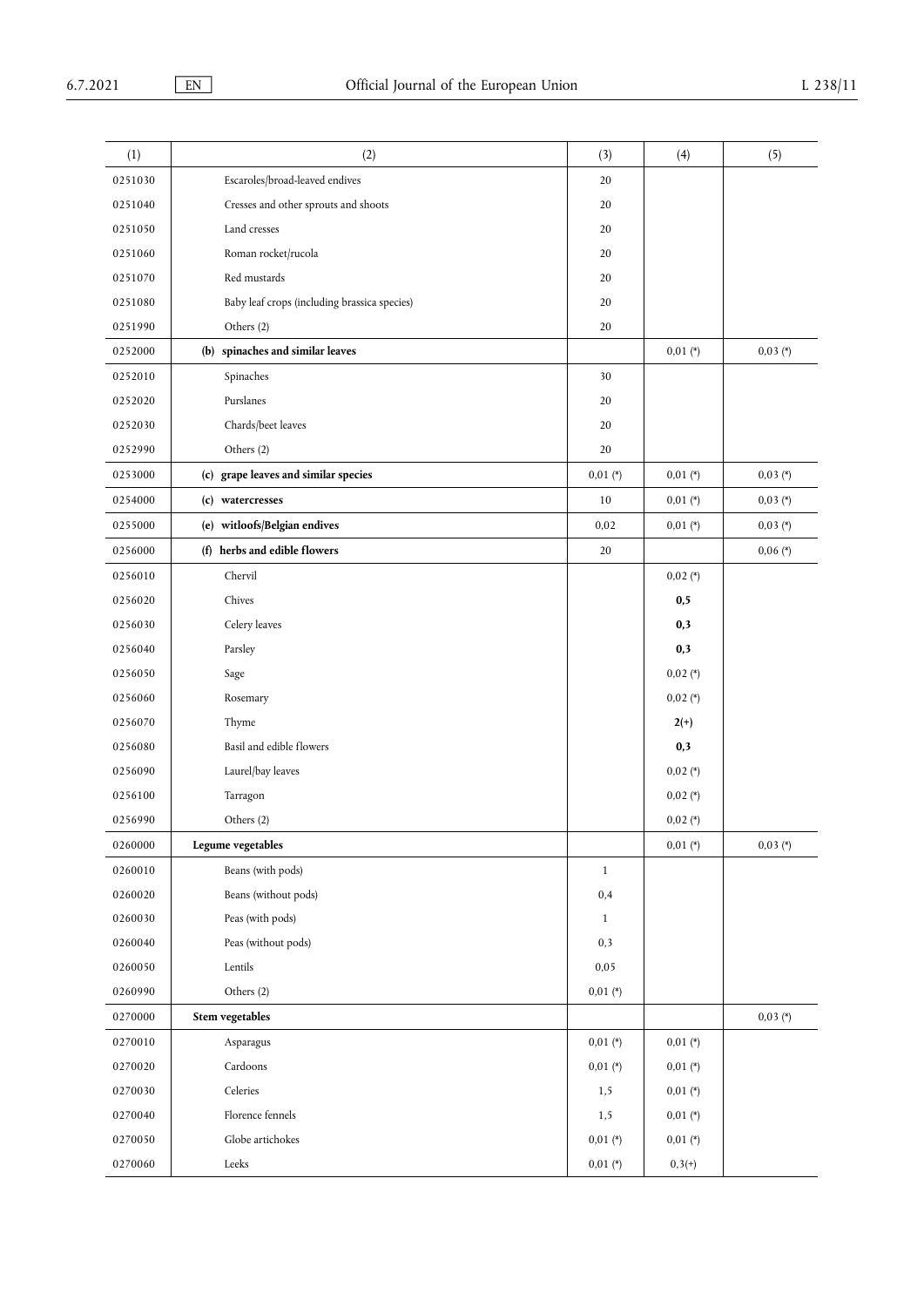| (1)     | (2)                                          | (3)          | (4)        | (5)        |
|---------|----------------------------------------------|--------------|------------|------------|
| 0251030 | Escaroles/broad-leaved endives               | 20           |            |            |
| 0251040 | Cresses and other sprouts and shoots         | 20           |            |            |
| 0251050 | Land cresses                                 | 20           |            |            |
| 0251060 | Roman rocket/rucola                          | 20           |            |            |
| 0251070 | Red mustards                                 | 20           |            |            |
| 0251080 | Baby leaf crops (including brassica species) | 20           |            |            |
| 0251990 | Others (2)                                   | 20           |            |            |
| 0252000 | (b) spinaches and similar leaves             |              | $0,01$ (*) | $0,03 (*)$ |
| 0252010 | Spinaches                                    | 30           |            |            |
| 0252020 | Purslanes                                    | 20           |            |            |
| 0252030 | Chards/beet leaves                           | 20           |            |            |
| 0252990 | Others (2)                                   | $20\,$       |            |            |
| 0253000 | (c) grape leaves and similar species         | $0.01$ (*)   | $0,01 (*)$ | $0,03 (*)$ |
| 0254000 | (c) watercresses                             | $10\,$       | $0,01 (*)$ | $0,03 (*)$ |
| 0255000 | (e) witloofs/Belgian endives                 | 0,02         | $0,01$ (*) | $0,03 (*)$ |
| 0256000 | (f) herbs and edible flowers                 | 20           |            | $0,06 (*)$ |
| 0256010 | Chervil                                      |              | $0,02 (*)$ |            |
| 0256020 | Chives                                       |              | 0,5        |            |
| 0256030 | Celery leaves                                |              | 0,3        |            |
| 0256040 | Parsley                                      |              | 0,3        |            |
| 0256050 | Sage                                         |              | $0,02$ (*) |            |
| 0256060 | Rosemary                                     |              | $0,02$ (*) |            |
| 0256070 | Thyme                                        |              | $2(+)$     |            |
| 0256080 | Basil and edible flowers                     |              | 0,3        |            |
| 0256090 | Laurel/bay leaves                            |              | $0,02$ (*) |            |
| 0256100 | Tarragon                                     |              | $0,02$ (*) |            |
| 0256990 | Others (2)                                   |              | $0,02$ (*) |            |
| 0260000 | Legume vegetables                            |              | $0,01$ (*) | $0,03 (*)$ |
| 0260010 | Beans (with pods)                            | $\mathbf{1}$ |            |            |
| 0260020 | Beans (without pods)                         | 0,4          |            |            |
| 0260030 | Peas (with pods)                             | $\mathbf{1}$ |            |            |
| 0260040 | Peas (without pods)                          | 0,3          |            |            |
| 0260050 | Lentils                                      | 0,05         |            |            |
| 0260990 | Others (2)                                   | $0,01 (*)$   |            |            |
| 0270000 | Stem vegetables                              |              |            | $0,03 (*)$ |
| 0270010 | Asparagus                                    | $0,01$ (*)   | $0,01 (*)$ |            |
| 0270020 | Cardoons                                     | $0,01$ (*)   | $0,01 (*)$ |            |
| 0270030 | Celeries                                     | 1, 5         | $0,01$ (*) |            |
| 0270040 | Florence fennels                             | 1, 5         | $0,01 (*)$ |            |
| 0270050 | Globe artichokes                             | $0,01$ (*)   | $0,01 (*)$ |            |
| 0270060 | $\operatorname{Leeks}$                       | $0,01$ (*)   | $0,3(+)$   |            |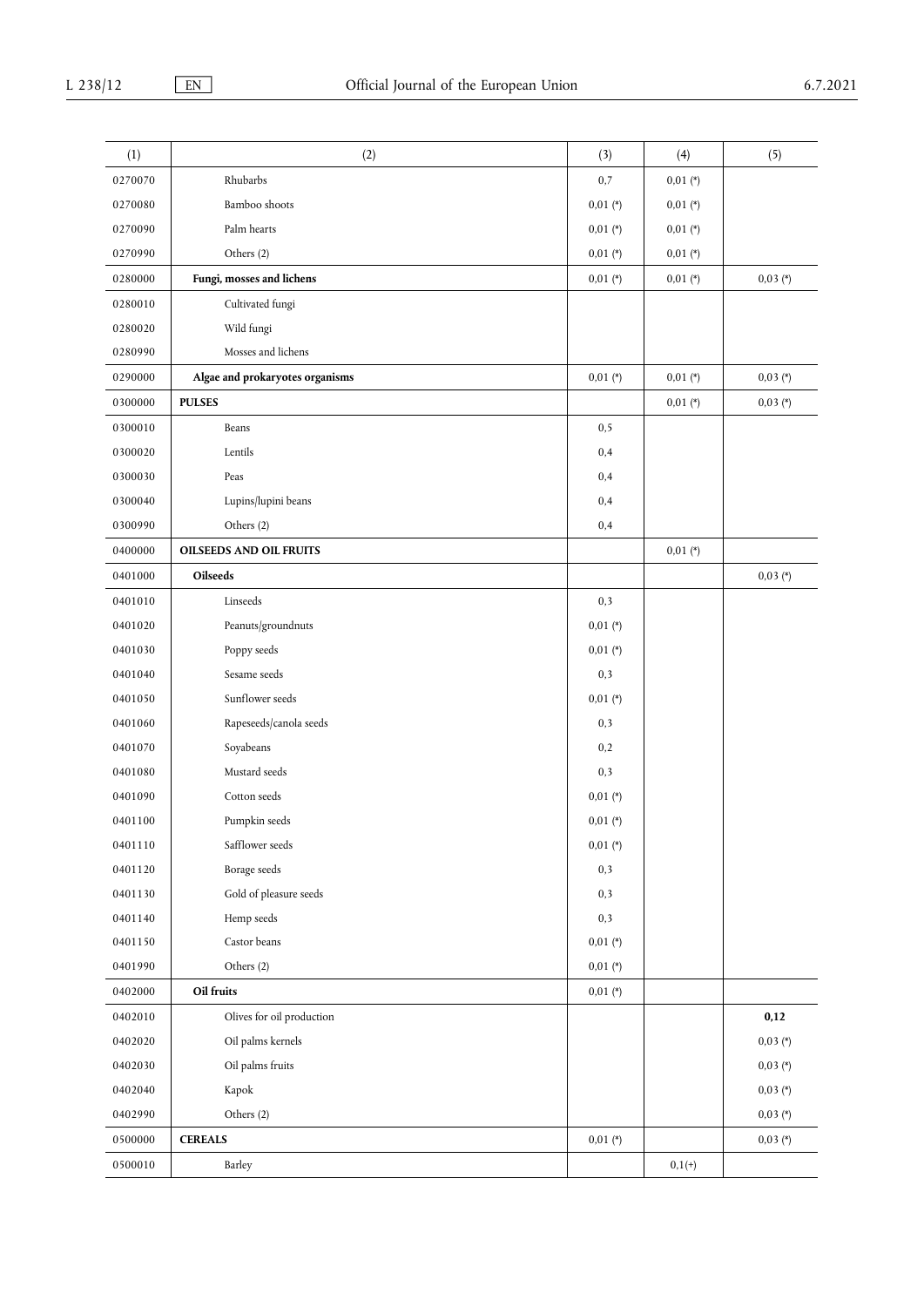| (1)     | (2)                             | (3)        | (4)        | (5)        |
|---------|---------------------------------|------------|------------|------------|
| 0270070 | Rhubarbs                        | 0,7        | $0,01$ (*) |            |
| 0270080 | Bamboo shoots                   | $0,01 (*)$ | $0,01$ (*) |            |
| 0270090 | Palm hearts                     | $0,01 (*)$ | $0,01$ (*) |            |
| 0270990 | Others (2)                      | $0,01$ (*) | $0,01 (*)$ |            |
| 0280000 | Fungi, mosses and lichens       | $0.01$ (*) | $0,01$ (*) | $0,03 (*)$ |
| 0280010 | Cultivated fungi                |            |            |            |
| 0280020 | Wild fungi                      |            |            |            |
| 0280990 | Mosses and lichens              |            |            |            |
| 0290000 | Algae and prokaryotes organisms | $0,01$ (*) | $0,01$ (*) | $0,03 (*)$ |
| 0300000 | <b>PULSES</b>                   |            | $0,01 (*)$ | $0,03 (*)$ |
| 0300010 | Beans                           | 0, 5       |            |            |
| 0300020 | Lentils                         | 0,4        |            |            |
| 0300030 | Peas                            | 0,4        |            |            |
| 0300040 | Lupins/lupini beans             | 0,4        |            |            |
| 0300990 | Others (2)                      | 0,4        |            |            |
| 0400000 | <b>OILSEEDS AND OIL FRUITS</b>  |            | $0,01$ (*) |            |
| 0401000 | Oilseeds                        |            |            | $0,03 (*)$ |
| 0401010 | Linseeds                        | 0,3        |            |            |
| 0401020 | Peanuts/groundnuts              | $0,01 (*)$ |            |            |
| 0401030 | Poppy seeds                     | $0,01$ (*) |            |            |
| 0401040 | Sesame seeds                    | 0,3        |            |            |
| 0401050 | Sunflower seeds                 | $0,01 (*)$ |            |            |
| 0401060 | Rapeseeds/canola seeds          | 0,3        |            |            |
| 0401070 | Soyabeans                       | 0,2        |            |            |
| 0401080 | Mustard seeds                   | 0,3        |            |            |
| 0401090 | Cotton seeds                    | $0,01 (*)$ |            |            |
| 0401100 | Pumpkin seeds                   | $0,01$ (*) |            |            |
| 0401110 | Safflower seeds                 | $0.01$ (*) |            |            |
| 0401120 | Borage seeds                    | 0,3        |            |            |
| 0401130 | Gold of pleasure seeds          | 0,3        |            |            |
| 0401140 | Hemp seeds                      | 0,3        |            |            |
| 0401150 | Castor beans                    | $0,01$ (*) |            |            |
| 0401990 | Others (2)                      | $0,01$ (*) |            |            |
| 0402000 | Oil fruits                      | $0.01$ (*) |            |            |
| 0402010 | Olives for oil production       |            |            | 0,12       |
| 0402020 | Oil palms kernels               |            |            | $0,03 (*)$ |
| 0402030 | Oil palms fruits                |            |            | $0,03 (*)$ |
| 0402040 | Kapok                           |            |            | $0,03 (*)$ |
| 0402990 | Others (2)                      |            |            | $0,03 (*)$ |
| 0500000 | <b>CEREALS</b>                  | $0.01$ (*) |            | $0,03 (*)$ |
| 0500010 | Barley                          |            | $0,1(+)$   |            |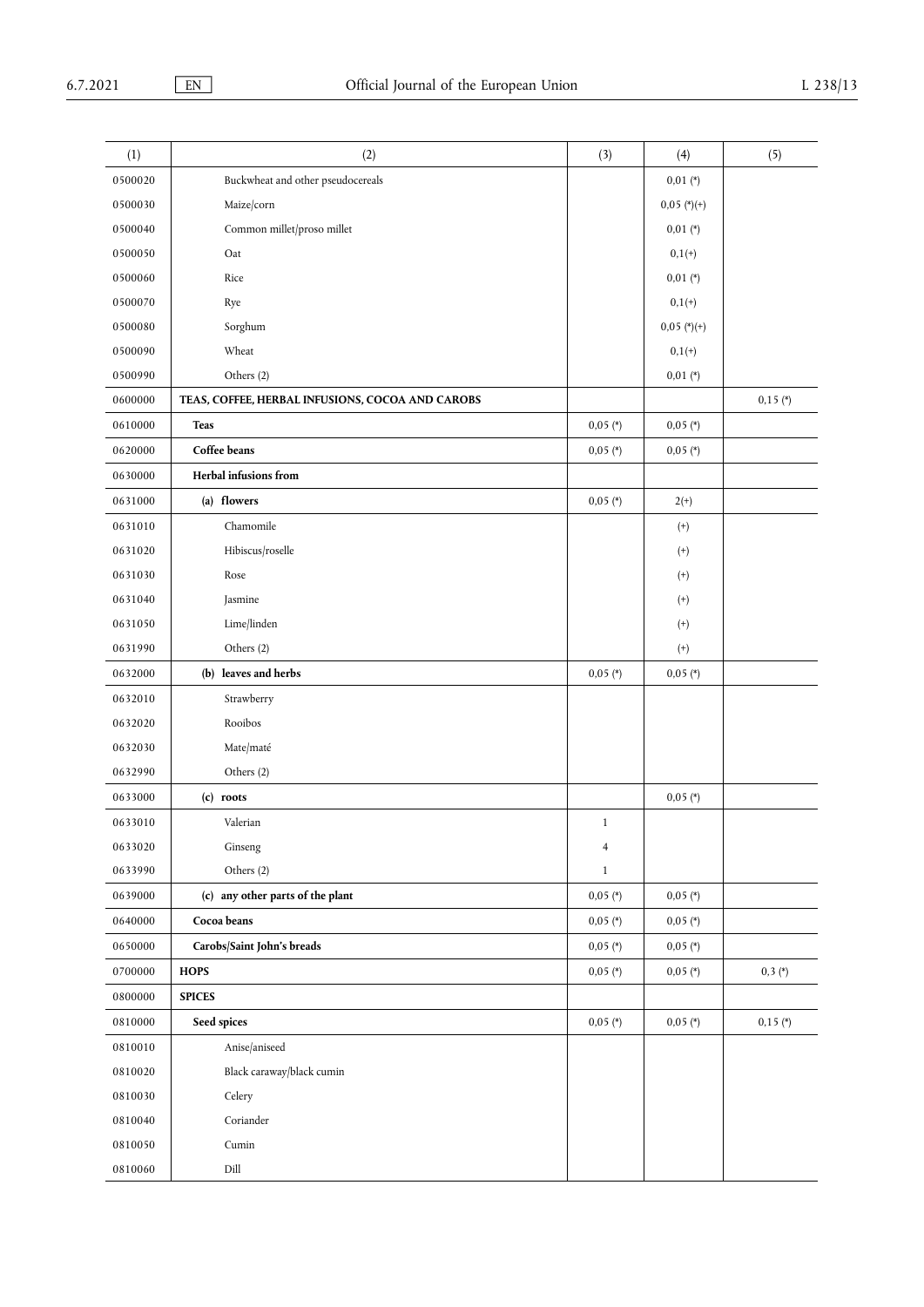| (1)     | (2)                                              | (3)            | (4)               | (5)        |
|---------|--------------------------------------------------|----------------|-------------------|------------|
| 0500020 | Buckwheat and other pseudocereals                |                | $0,01 (*)$        |            |
| 0500030 | Maize/corn                                       |                | $0,05$ (*)(+)     |            |
| 0500040 | Common millet/proso millet                       |                | $0,01$ (*)        |            |
| 0500050 | Oat                                              |                | $0,1(+)$          |            |
| 0500060 | Rice                                             |                | $0,01$ (*)        |            |
| 0500070 | Rye                                              |                | $0,1(+)$          |            |
| 0500080 | Sorghum                                          |                | $0,05$ (*)(+)     |            |
| 0500090 | Wheat                                            |                | $0,1(+)$          |            |
| 0500990 | Others (2)                                       |                | $0,01 (*)$        |            |
| 0600000 | TEAS, COFFEE, HERBAL INFUSIONS, COCOA AND CAROBS |                |                   | $0,15$ (*) |
| 0610000 | <b>Teas</b>                                      | $0,05$ (*)     | $0,05$ (*)        |            |
| 0620000 | Coffee beans                                     | $0,05$ (*)     | $0,05$ (*)        |            |
| 0630000 | Herbal infusions from                            |                |                   |            |
| 0631000 | (a) flowers                                      | $0,05$ (*)     | $2(+)$            |            |
| 0631010 | Chamomile                                        |                | $\left( +\right)$ |            |
| 0631020 | Hibiscus/roselle                                 |                | $^{(+)}$          |            |
| 0631030 | Rose                                             |                | $^{(+)}$          |            |
| 0631040 | Jasmine                                          |                | $^{(+)}$          |            |
| 0631050 | Lime/linden                                      |                | $\left( +\right)$ |            |
| 0631990 | Others (2)                                       |                | $\left( +\right)$ |            |
| 0632000 | (b) leaves and herbs                             | $0,05$ (*)     | $0,05$ (*)        |            |
| 0632010 | Strawberry                                       |                |                   |            |
| 0632020 | Rooibos                                          |                |                   |            |
| 0632030 | Mate/maté                                        |                |                   |            |
| 0632990 | Others (2)                                       |                |                   |            |
| 0633000 | (c) roots                                        |                | $0,05$ (*)        |            |
| 0633010 | Valerian                                         | $\mathbf{1}$   |                   |            |
| 0633020 | Ginseng                                          | $\overline{4}$ |                   |            |
| 0633990 | Others (2)                                       | $\mathbf{1}$   |                   |            |
| 0639000 | (c) any other parts of the plant                 | $0,05$ (*)     | $0,05$ (*)        |            |
| 0640000 | Cocoa beans                                      | $0,05$ (*)     | $0,05$ (*)        |            |
| 0650000 | Carobs/Saint John's breads                       | $0,05$ (*)     | $0,05$ (*)        |            |
| 0700000 | <b>HOPS</b>                                      | $0,05$ (*)     | $0,05$ (*)        | $0,3(*)$   |
| 0800000 | <b>SPICES</b>                                    |                |                   |            |
| 0810000 | Seed spices                                      | $0,05$ (*)     | $0,05$ (*)        | $0,15$ (*) |
| 0810010 | Anise/aniseed                                    |                |                   |            |
| 0810020 | Black caraway/black cumin                        |                |                   |            |
| 0810030 | Celery                                           |                |                   |            |
| 0810040 | Coriander                                        |                |                   |            |
| 0810050 | Cumin                                            |                |                   |            |
| 0810060 | Dill                                             |                |                   |            |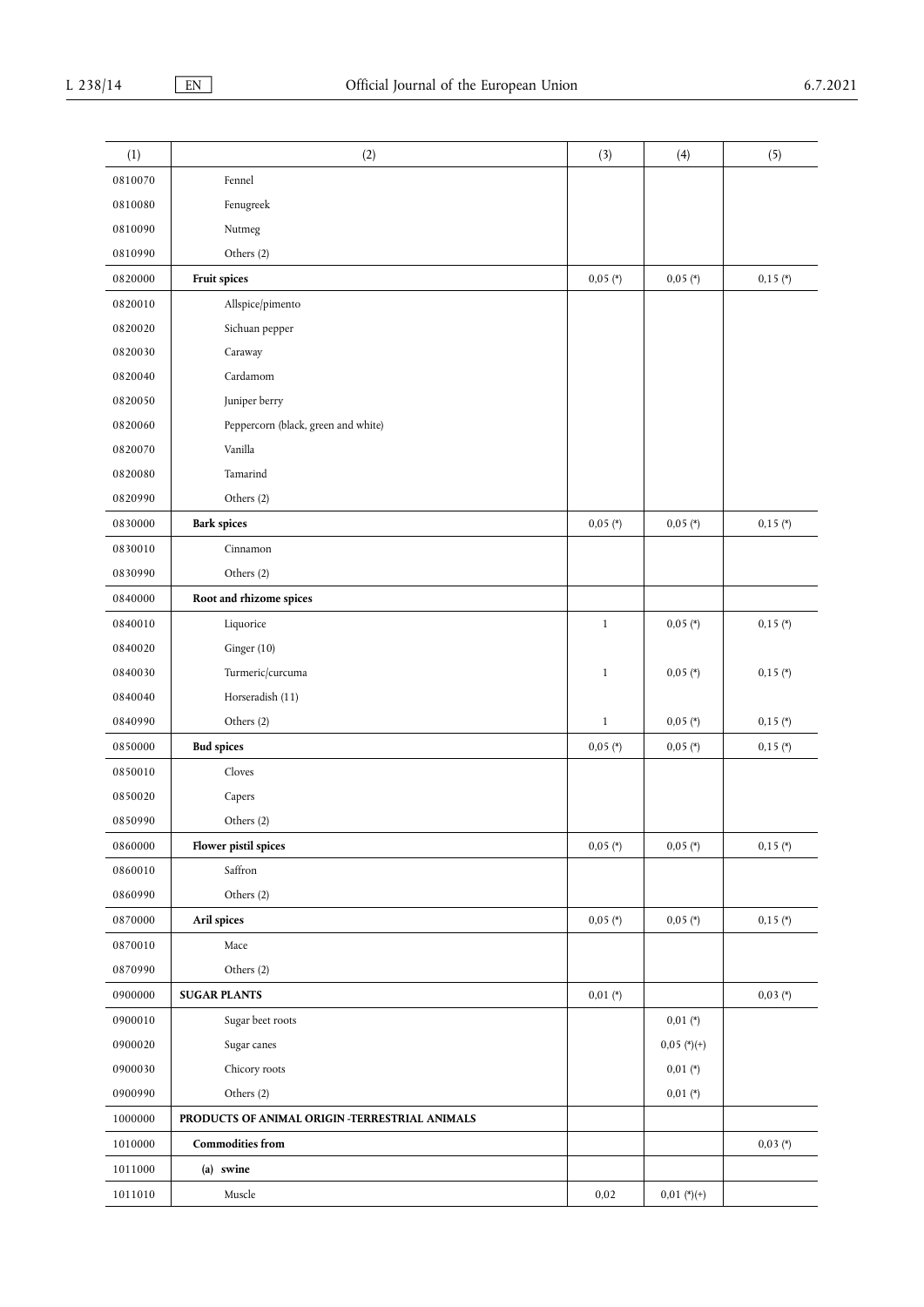| (1)     | (2)                                            | (3)          | (4)           | (5)        |
|---------|------------------------------------------------|--------------|---------------|------------|
| 0810070 | Fennel                                         |              |               |            |
| 0810080 | Fenugreek                                      |              |               |            |
| 0810090 | Nutmeg                                         |              |               |            |
| 0810990 | Others (2)                                     |              |               |            |
| 0820000 | Fruit spices                                   | $0,05$ (*)   | $0,05$ (*)    | $0,15$ (*) |
| 0820010 | Allspice/pimento                               |              |               |            |
| 0820020 | Sichuan pepper                                 |              |               |            |
| 0820030 | Caraway                                        |              |               |            |
| 0820040 | Cardamom                                       |              |               |            |
| 0820050 | Juniper berry                                  |              |               |            |
| 0820060 | Peppercorn (black, green and white)            |              |               |            |
| 0820070 | Vanilla                                        |              |               |            |
| 0820080 | Tamarind                                       |              |               |            |
| 0820990 | Others (2)                                     |              |               |            |
| 0830000 | <b>Bark spices</b>                             | $0,05$ (*)   | $0,05$ (*)    | $0,15$ (*) |
| 0830010 | Cinnamon                                       |              |               |            |
| 0830990 | Others (2)                                     |              |               |            |
| 0840000 | Root and rhizome spices                        |              |               |            |
| 0840010 | Liquorice                                      | $\mathbf{1}$ | $0,05$ (*)    | $0,15$ (*) |
| 0840020 | Ginger (10)                                    |              |               |            |
| 0840030 | Turmeric/curcuma                               | $\mathbf{1}$ | $0,05$ (*)    | $0,15$ (*) |
| 0840040 | Horseradish (11)                               |              |               |            |
| 0840990 | Others (2)                                     | $\mathbf{1}$ | $0,05$ (*)    | $0,15$ (*) |
| 0850000 | <b>Bud spices</b>                              | $0,05$ (*)   | $0,05$ (*)    | $0,15$ (*) |
| 0850010 | Cloves                                         |              |               |            |
| 0850020 | Capers                                         |              |               |            |
| 0850990 | Others (2)                                     |              |               |            |
| 0860000 | Flower pistil spices                           | $0,05$ (*)   | $0,05$ (*)    | $0,15$ (*) |
| 0860010 | Saffron                                        |              |               |            |
| 0860990 | Others (2)                                     |              |               |            |
| 0870000 | Aril spices                                    | $0,05$ (*)   | $0,05$ (*)    | $0,15$ (*) |
| 0870010 | Mace                                           |              |               |            |
| 0870990 | Others (2)                                     |              |               |            |
| 0900000 | <b>SUGAR PLANTS</b>                            | $0,01 (*)$   |               | $0,03 (*)$ |
| 0900010 | Sugar beet roots                               |              | $0,01$ (*)    |            |
| 0900020 | Sugar canes                                    |              | $0,05$ (*)(+) |            |
| 0900030 | Chicory roots                                  |              | $0,01 (*)$    |            |
| 0900990 | Others (2)                                     |              | $0,01 (*)$    |            |
| 1000000 | PRODUCTS OF ANIMAL ORIGIN -TERRESTRIAL ANIMALS |              |               |            |
| 1010000 | <b>Commodities from</b>                        |              |               | $0,03 (*)$ |
| 1011000 | (a) swine                                      |              |               |            |
| 1011010 | Muscle                                         | 0,02         | $0.01$ (*)(+) |            |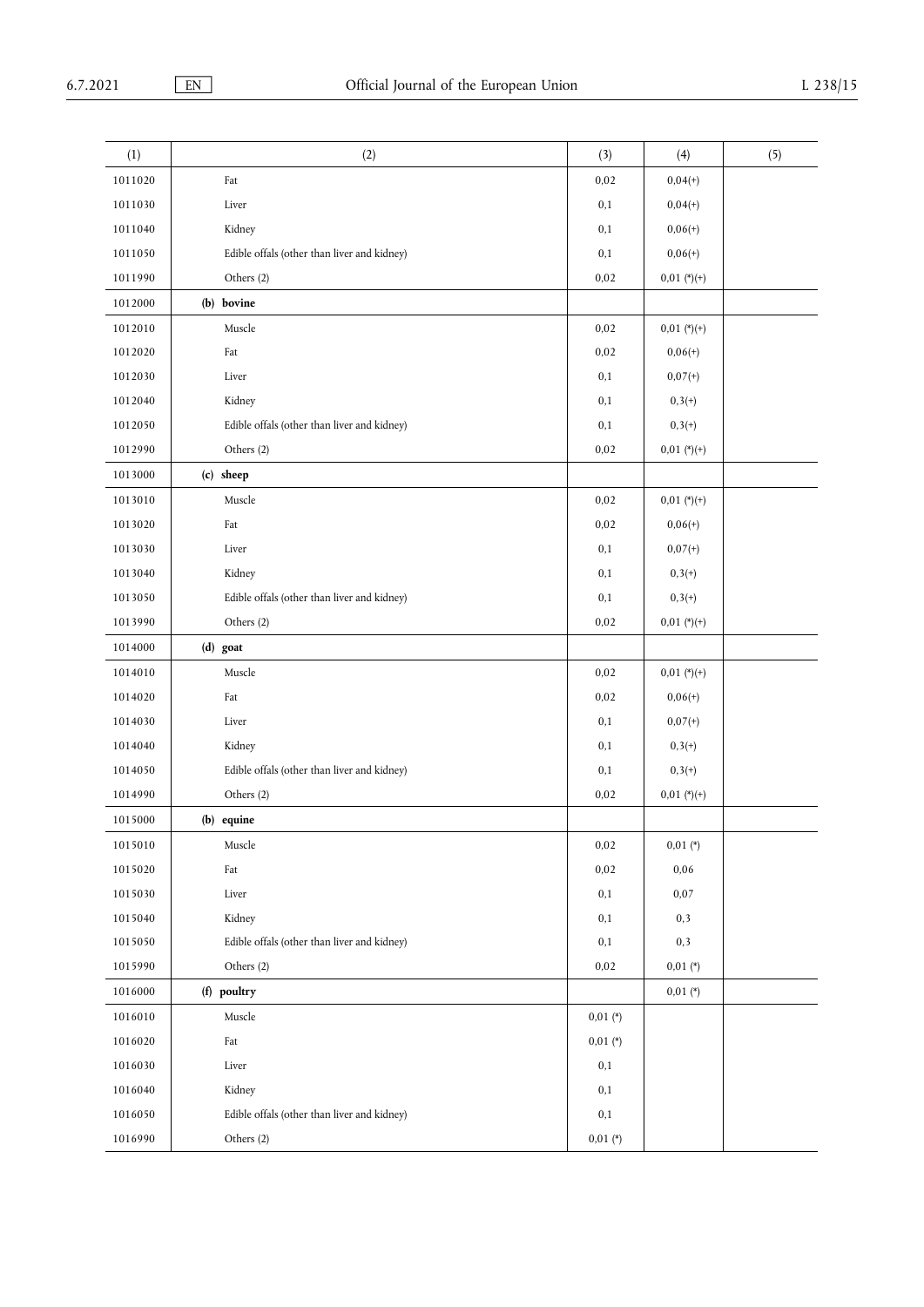| (1)     | (2)                                         | (3)        | (4)           | (5) |
|---------|---------------------------------------------|------------|---------------|-----|
| 1011020 | Fat                                         | 0,02       | $0,04(+)$     |     |
| 1011030 | Liver                                       | 0,1        | $0,04(+)$     |     |
| 1011040 | Kidney                                      | 0,1        | $0,06(+)$     |     |
| 1011050 | Edible offals (other than liver and kidney) | 0,1        | $0,06(+)$     |     |
| 1011990 | Others (2)                                  | 0,02       | $0.01$ (*)(+) |     |
| 1012000 | (b) bovine                                  |            |               |     |
| 1012010 | Muscle                                      | 0,02       | $0.01$ (*)(+) |     |
| 1012020 | Fat                                         | 0,02       | $0,06(+)$     |     |
| 1012030 | Liver                                       | 0,1        | $0,07(+)$     |     |
| 1012040 | Kidney                                      | 0,1        | $0,3(+)$      |     |
| 1012050 | Edible offals (other than liver and kidney) | 0,1        | $0,3(+)$      |     |
| 1012990 | Others (2)                                  | 0,02       | $0.01$ (*)(+) |     |
| 1013000 | (c) sheep                                   |            |               |     |
| 1013010 | Muscle                                      | 0,02       | $0.01$ (*)(+) |     |
| 1013020 | Fat                                         | 0,02       | $0,06(+)$     |     |
| 1013030 | Liver                                       | 0,1        | $0,07(+)$     |     |
| 1013040 | Kidney                                      | 0,1        | $0,3(+)$      |     |
| 1013050 | Edible offals (other than liver and kidney) | 0,1        | $0,3(+)$      |     |
| 1013990 | Others (2)                                  | 0,02       | $0.01$ (*)(+) |     |
| 1014000 | (d) goat                                    |            |               |     |
| 1014010 | Muscle                                      | 0,02       | $0.01$ (*)(+) |     |
| 1014020 | Fat                                         | 0,02       | $0,06(+)$     |     |
| 1014030 | Liver                                       | 0,1        | $0,07(+)$     |     |
| 1014040 | Kidney                                      | 0,1        | $0,3(+)$      |     |
| 1014050 | Edible offals (other than liver and kidney) | 0,1        | $0,3(+)$      |     |
| 1014990 | Others (2)                                  | 0,02       | $0.01$ (*)(+) |     |
| 1015000 | (b) equine                                  |            |               |     |
| 1015010 | Muscle                                      | 0,02       | $0,01$ (*)    |     |
| 1015020 | Fat                                         | 0,02       | 0,06          |     |
| 1015030 | Liver                                       | 0,1        | 0,07          |     |
| 1015040 | Kidney                                      | 0,1        | 0,3           |     |
| 1015050 | Edible offals (other than liver and kidney) | 0,1        | 0,3           |     |
| 1015990 | Others (2)                                  | 0,02       | $0.01$ (*)    |     |
| 1016000 | (f) poultry                                 |            | $0,01 (*)$    |     |
| 1016010 | Muscle                                      | $0,01$ (*) |               |     |
| 1016020 | Fat                                         | $0,01$ (*) |               |     |
| 1016030 | Liver                                       | 0,1        |               |     |
| 1016040 | Kidney                                      | 0,1        |               |     |
| 1016050 | Edible offals (other than liver and kidney) | 0,1        |               |     |
| 1016990 | Others (2)                                  | $0,01 (*)$ |               |     |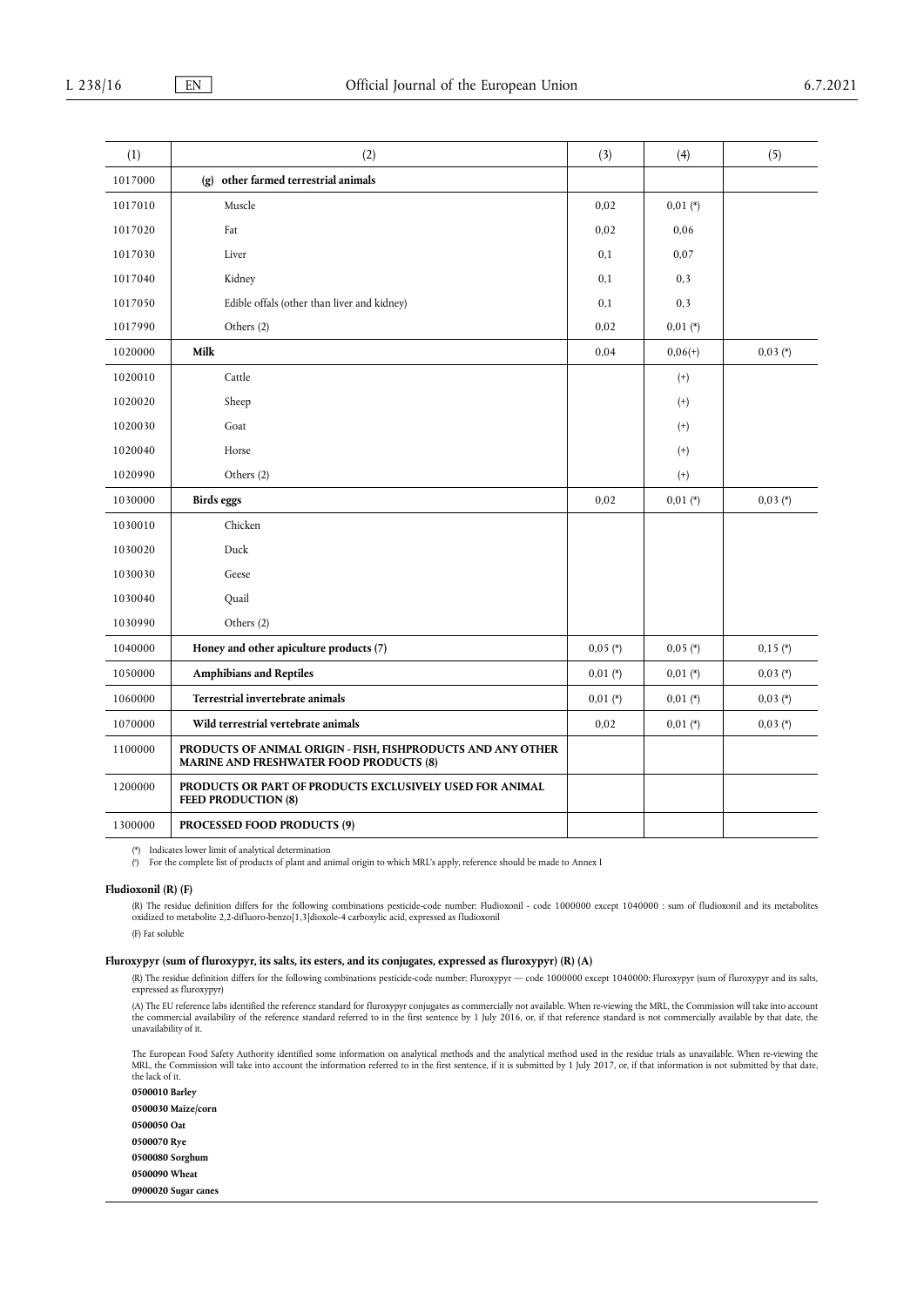| (1)     | (2)                                                                                                            | (3)          | (4)          | (5)        |
|---------|----------------------------------------------------------------------------------------------------------------|--------------|--------------|------------|
| 1017000 | (g) other farmed terrestrial animals                                                                           |              |              |            |
| 1017010 | Muscle                                                                                                         | 0,02         | $0,01$ (*)   |            |
| 1017020 | Fat                                                                                                            | 0,02         | 0,06         |            |
| 1017030 | Liver                                                                                                          | 0,1          | 0,07         |            |
| 1017040 | Kidney                                                                                                         | 0,1          | 0,3          |            |
| 1017050 | Edible offals (other than liver and kidney)                                                                    | 0,1          | 0,3          |            |
| 1017990 | Others (2)                                                                                                     | 0,02         | $0,01$ $(*)$ |            |
| 1020000 | Milk                                                                                                           | 0,04         | $0.06(+)$    | $0.03$ (*) |
| 1020010 | Cattle                                                                                                         |              | $^{(+)}$     |            |
| 1020020 | Sheep                                                                                                          |              | $^{(+)}$     |            |
| 1020030 | Goat                                                                                                           |              | $^{(+)}$     |            |
| 1020040 | Horse                                                                                                          |              | $^{(+)}$     |            |
| 1020990 | Others (2)                                                                                                     |              | $(+)$        |            |
| 1030000 | Birds eggs                                                                                                     | 0,02         | $0,01 (*)$   | $0,03 (*)$ |
| 1030010 | Chicken                                                                                                        |              |              |            |
| 1030020 | Duck                                                                                                           |              |              |            |
| 1030030 | Geese                                                                                                          |              |              |            |
| 1030040 | Quail                                                                                                          |              |              |            |
| 1030990 | Others (2)                                                                                                     |              |              |            |
| 1040000 | Honey and other apiculture products (7)                                                                        | $0,05$ (*)   | $0,05$ (*)   | $0,15$ (*) |
| 1050000 | <b>Amphibians and Reptiles</b>                                                                                 | $0,01$ $(*)$ | $0,01$ (*)   | $0,03(*)$  |
| 1060000 | Terrestrial invertebrate animals                                                                               | $0,01$ (*)   | $0,01$ (*)   | $0,03 (*)$ |
| 1070000 | Wild terrestrial vertebrate animals                                                                            | 0,02         | $0,01$ (*)   | $0,03$ (*) |
| 1100000 | PRODUCTS OF ANIMAL ORIGIN - FISH, FISHPRODUCTS AND ANY OTHER<br><b>MARINE AND FRESHWATER FOOD PRODUCTS (8)</b> |              |              |            |
| 1200000 | PRODUCTS OR PART OF PRODUCTS EXCLUSIVELY USED FOR ANIMAL<br><b>FEED PRODUCTION (8)</b>                         |              |              |            |
| 1300000 | <b>PROCESSED FOOD PRODUCTS (9)</b>                                                                             |              |              |            |

<span id="page-11-1"></span>[\(\\*\)](#page-2-0) Indicates lower limit of analytical determination

<span id="page-11-0"></span>[\(](#page-2-1) a ) For the complete list of products of plant and animal origin to which MRL's apply, reference should be made to Annex I

#### **Fludioxonil (R) (F)**

(R) The residue definition differs for the following combinations pesticide-code number: Fludioxonil - code 1000000 except 1040000 : sum of fludioxonil and its metabolites oxidized to metabolite 2,2-difluoro-benzo[1,3]dioxole-4 carboxylic acid, expressed as fludioxonil

(F) Fat soluble

## **Fluroxypyr (sum of fluroxypyr, its salts, its esters, and its conjugates, expressed as fluroxypyr) (R) (A)**

(R) The residue definition differs for the following combinations pesticide-code number: Fluroxypyr — code 1000000 except 1040000: Fluroxypyr (sum of fluroxypyr and its salts, expressed as fluroxypyr)

(A) The EU reference labs identified the reference standard for fluroxypyr conjugates as commercially not available. When re-viewing the MRL, the Commission will take into account<br>the commercial availability of the referen unavailability of it.

The European Food Safety Authority identified some information on analytical methods and the analytical method used in the residue trials as unavailable. When re-viewing the MRL, the Commission will take into account the information referred to in the first sentence, if it is submitted by 1 July 2017, or, if that information is not submitted by that date, the lack of it.

**0500010 Barley 0500030 Maize/corn 0500050 Oat 0500070 Rye 0500080 Sorghum 0500090 Wheat**

**0900020 Sugar canes**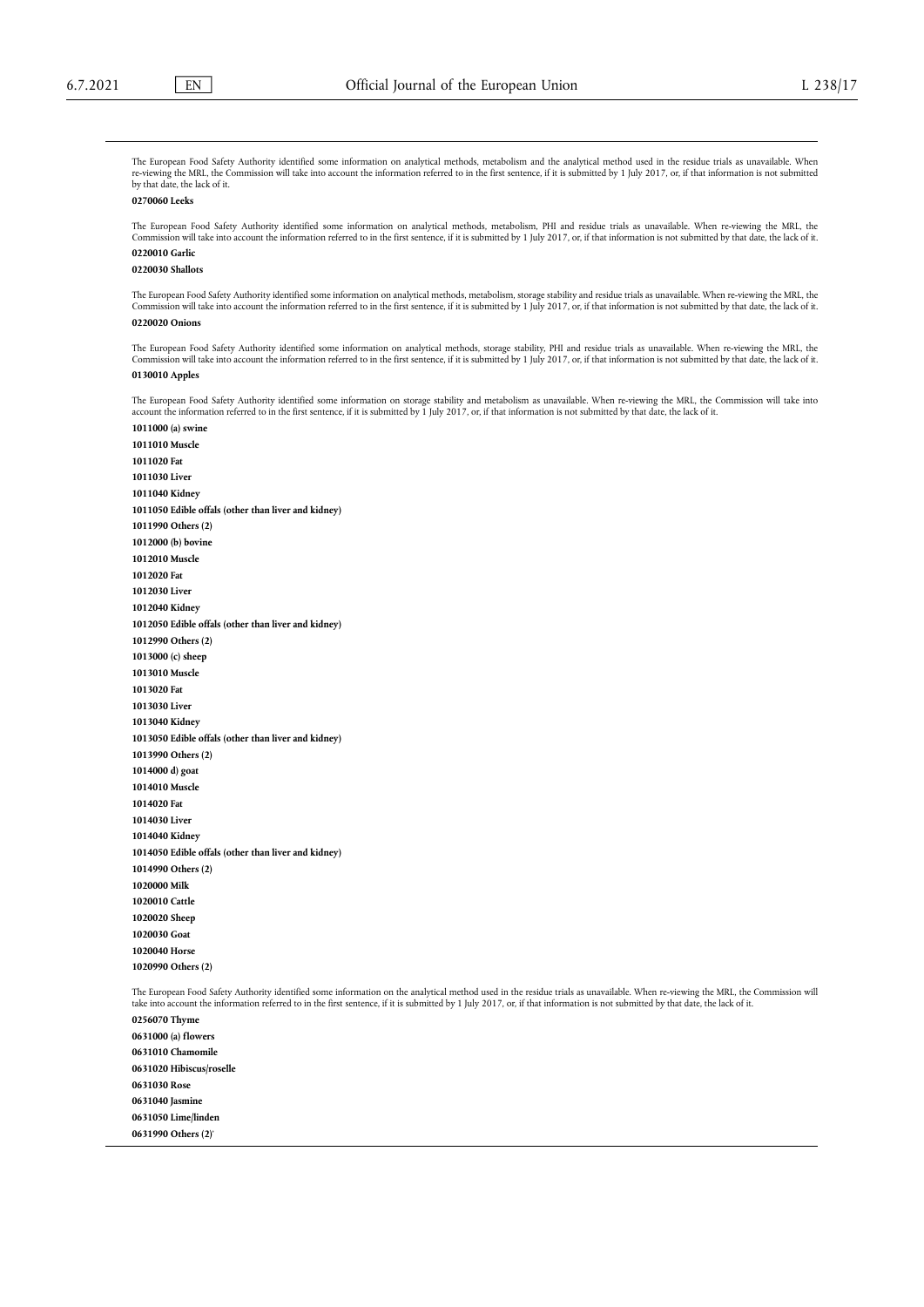The European Food Safety Authority identified some information on analytical methods, metabolism and the analytical method used in the residue trials as unavailable. When re-viewing the MRL, the Commission will take into account the information referred to in the first sentence, if it is submitted by 1 July 2017, or, if that information is not submitted by that date, the lack of it.

## **0270060 Leeks**

The European Food Safety Authority identified some information on analytical methods, metabolism, PHI and residue trials as unavailable. When re-viewing the MRL, the Commission will take into account the information referred to in the first sentence, if it is submitted by 1 July 2017, or, if that information is not submitted by that date, the lack of it. **0220010 Garlic**

## **0220030 Shallots**

The European Food Safety Authority identified some information on analytical methods, metabolism, storage stability and residue trials as unavailable. When re-viewing the MRL, the Commission will take into account the information referred to in the first sentence, if it is submitted by 1 July 2017, or, if that information is not submitted by that date, the lack of it. 0220020 Onion

The European Food Safety Authority identified some information on analytical methods, storage stability, PHI and residue trials as unavailable. When re-viewing the MRL, the Commission will take into account the information referred to in the first sentence, if it is submitted by 1 July 2017, or, if that information is not submitted by that date, the lack of it. **0130010 Apples**

The European Food Safety Authority identified some information on storage stability and metabolism as unavailable. When re-viewing the MRL, the Commission will take into account the information referred to in the first sentence, if it is submitted by 1 July 2017, or, if that information is not submitted by that date, the lack of it.

**1011000 (a) swine 1011010 Muscle 1011020 Fat 1011030 Liver 1011040 Kidney 1011050 Edible offals (other than liver and kidney) 1011990 Others (2) 1012000 (b) bovine 1012010 Muscle 1012020 Fat 1012030 Liver 1012040 Kidney 1012050 Edible offals (other than liver and kidney) 1012990 Others (2) 1013000 (c) sheep 1013010 Muscle 1013020 Fat 1013030 Liver 1013040 Kidney 1013050 Edible offals (other than liver and kidney) 1013990 Others (2) 1014000 d) goat 1014010 Muscle 1014020 Fat 1014030 Liver 1014040 Kidney 1014050 Edible offals (other than liver and kidney) 1014990 Others (2) 1020000 Milk 1020010 Cattle 1020020 Sheep 1020030 Goat 1020040 Horse 1020990 Others (2)**

The European Food Safety Authority identified some information on the analytical method used in the residue trials as unavailable. When re-viewing the MRL, the Commission will take into account the information referred to in the first sentence, if it is submitted by 1 July 2017, or, if that information is not submitted by that date, the lack of it.

**0256070 Thyme 0631000 (a) flowers 0631010 Chamomile 0631020 Hibiscus/roselle 0631030 Rose 0631040 Jasmine 0631050 Lime/linden 0631990 Others (2)**'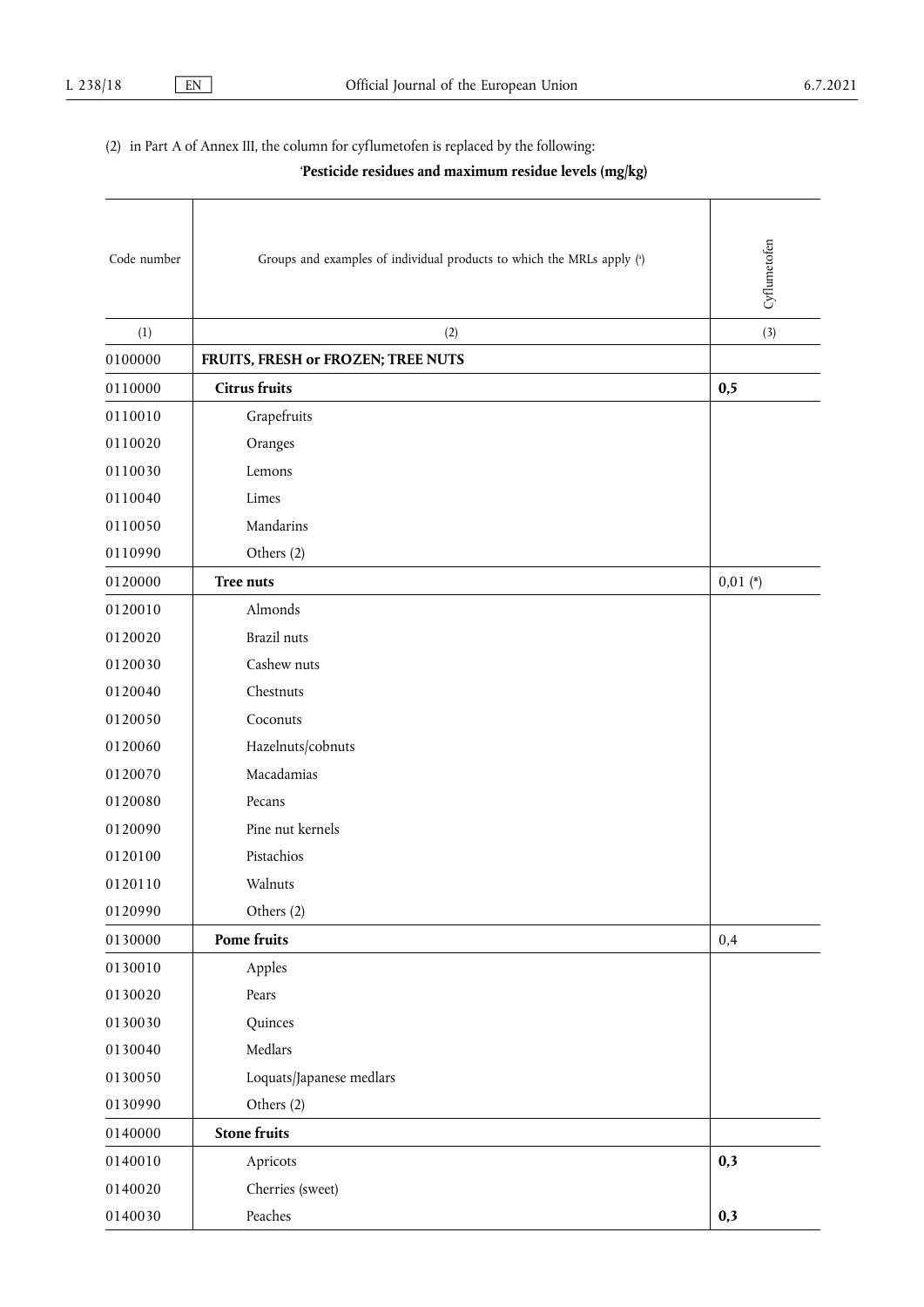(2) in Part A of Annex III, the column for cyflumetofen is replaced by the following:

<span id="page-13-0"></span>'**Pesticide residues and maximum residue levels (mg/kg)**

<span id="page-13-1"></span>

| Code number | Groups and examples of individual products to which the MRLs apply (a) | Cyflumetofen |
|-------------|------------------------------------------------------------------------|--------------|
| (1)         | (2)                                                                    | (3)          |
| 0100000     | FRUITS, FRESH or FROZEN; TREE NUTS                                     |              |
| 0110000     | <b>Citrus fruits</b>                                                   | 0,5          |
| 0110010     | Grapefruits                                                            |              |
| 0110020     | Oranges                                                                |              |
| 0110030     | Lemons                                                                 |              |
| 0110040     | Limes                                                                  |              |
| 0110050     | Mandarins                                                              |              |
| 0110990     | Others (2)                                                             |              |
| 0120000     | Tree nuts                                                              | $0,01$ (*)   |
| 0120010     | Almonds                                                                |              |
| 0120020     | <b>Brazil</b> nuts                                                     |              |
| 0120030     | Cashew nuts                                                            |              |
| 0120040     | Chestnuts                                                              |              |
| 0120050     | Coconuts                                                               |              |
| 0120060     | Hazelnuts/cobnuts                                                      |              |
| 0120070     | Macadamias                                                             |              |
| 0120080     | Pecans                                                                 |              |
| 0120090     | Pine nut kernels                                                       |              |
| 0120100     | Pistachios                                                             |              |
| 0120110     | Walnuts                                                                |              |
| 0120990     | Others (2)                                                             |              |
| 0130000     | Pome fruits                                                            | 0,4          |
| 0130010     | Apples                                                                 |              |
| 0130020     | Pears                                                                  |              |
| 0130030     | Quinces                                                                |              |
| 0130040     | Medlars                                                                |              |
| 0130050     | Loquats/Japanese medlars                                               |              |
| 0130990     | Others (2)                                                             |              |
| 0140000     | <b>Stone fruits</b>                                                    |              |
| 0140010     | Apricots                                                               | 0,3          |
| 0140020     | Cherries (sweet)                                                       |              |
| 0140030     | Peaches                                                                | 0,3          |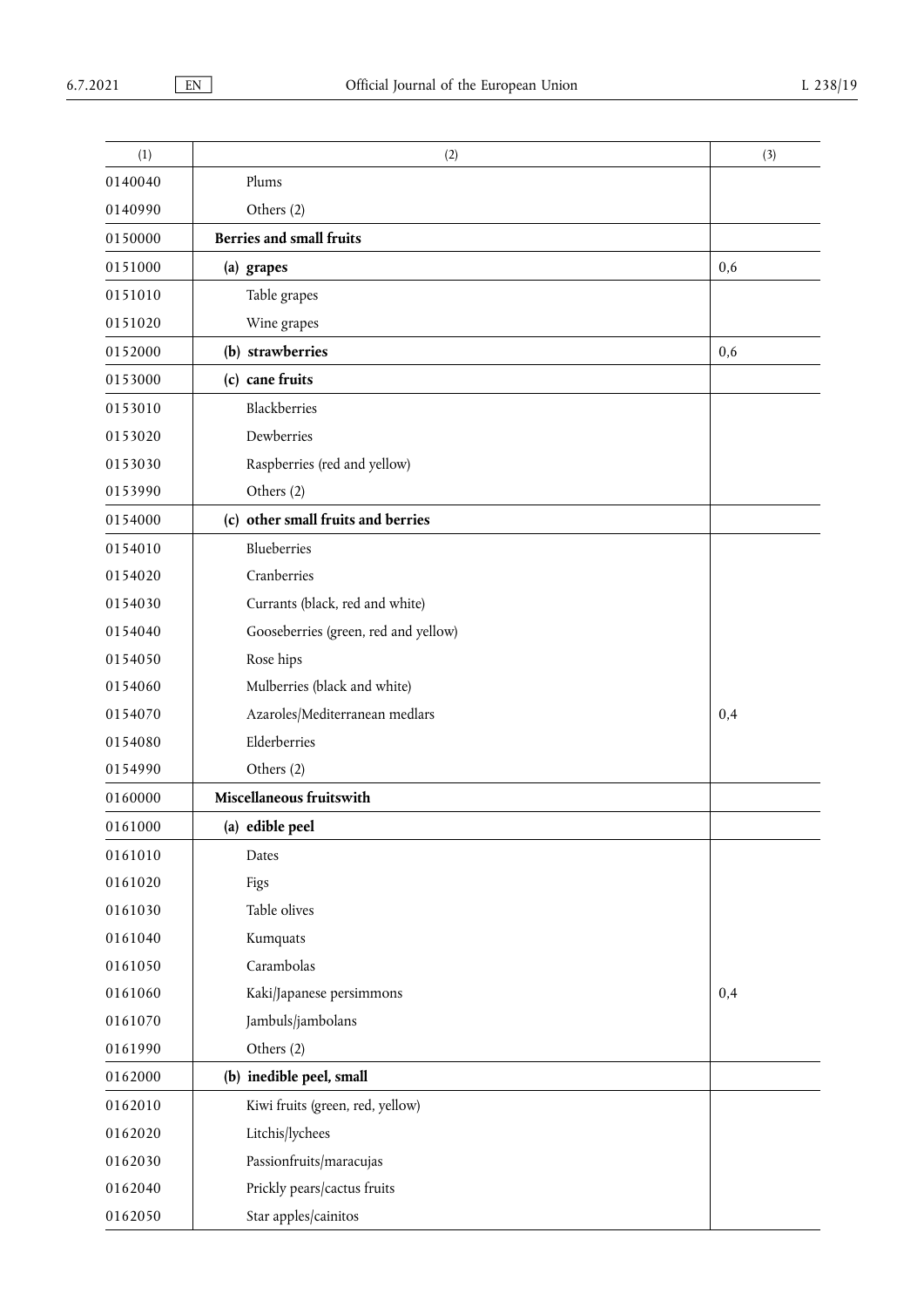| (1)     | (2)                                  | (3) |
|---------|--------------------------------------|-----|
| 0140040 | Plums                                |     |
| 0140990 | Others (2)                           |     |
| 0150000 | <b>Berries and small fruits</b>      |     |
| 0151000 | (a) grapes                           | 0,6 |
| 0151010 | Table grapes                         |     |
| 0151020 | Wine grapes                          |     |
| 0152000 | (b) strawberries                     | 0,6 |
| 0153000 | (c) cane fruits                      |     |
| 0153010 | Blackberries                         |     |
| 0153020 | Dewberries                           |     |
| 0153030 | Raspberries (red and yellow)         |     |
| 0153990 | Others (2)                           |     |
| 0154000 | (c) other small fruits and berries   |     |
| 0154010 | Blueberries                          |     |
| 0154020 | Cranberries                          |     |
| 0154030 | Currants (black, red and white)      |     |
| 0154040 | Gooseberries (green, red and yellow) |     |
| 0154050 | Rose hips                            |     |
| 0154060 | Mulberries (black and white)         |     |
| 0154070 | Azaroles/Mediterranean medlars       | 0,4 |
| 0154080 | Elderberries                         |     |
| 0154990 | Others (2)                           |     |
| 0160000 | Miscellaneous fruitswith             |     |
| 0161000 | (a) edible peel                      |     |
| 0161010 | Dates                                |     |
| 0161020 | Figs                                 |     |
| 0161030 | Table olives                         |     |
| 0161040 | Kumquats                             |     |
| 0161050 | Carambolas                           |     |
| 0161060 | Kaki/Japanese persimmons             | 0,4 |
| 0161070 | Jambuls/jambolans                    |     |
| 0161990 | Others (2)                           |     |
| 0162000 | (b) inedible peel, small             |     |
| 0162010 | Kiwi fruits (green, red, yellow)     |     |
| 0162020 | Litchis/lychees                      |     |
| 0162030 | Passionfruits/maracujas              |     |
| 0162040 | Prickly pears/cactus fruits          |     |
| 0162050 | Star apples/cainitos                 |     |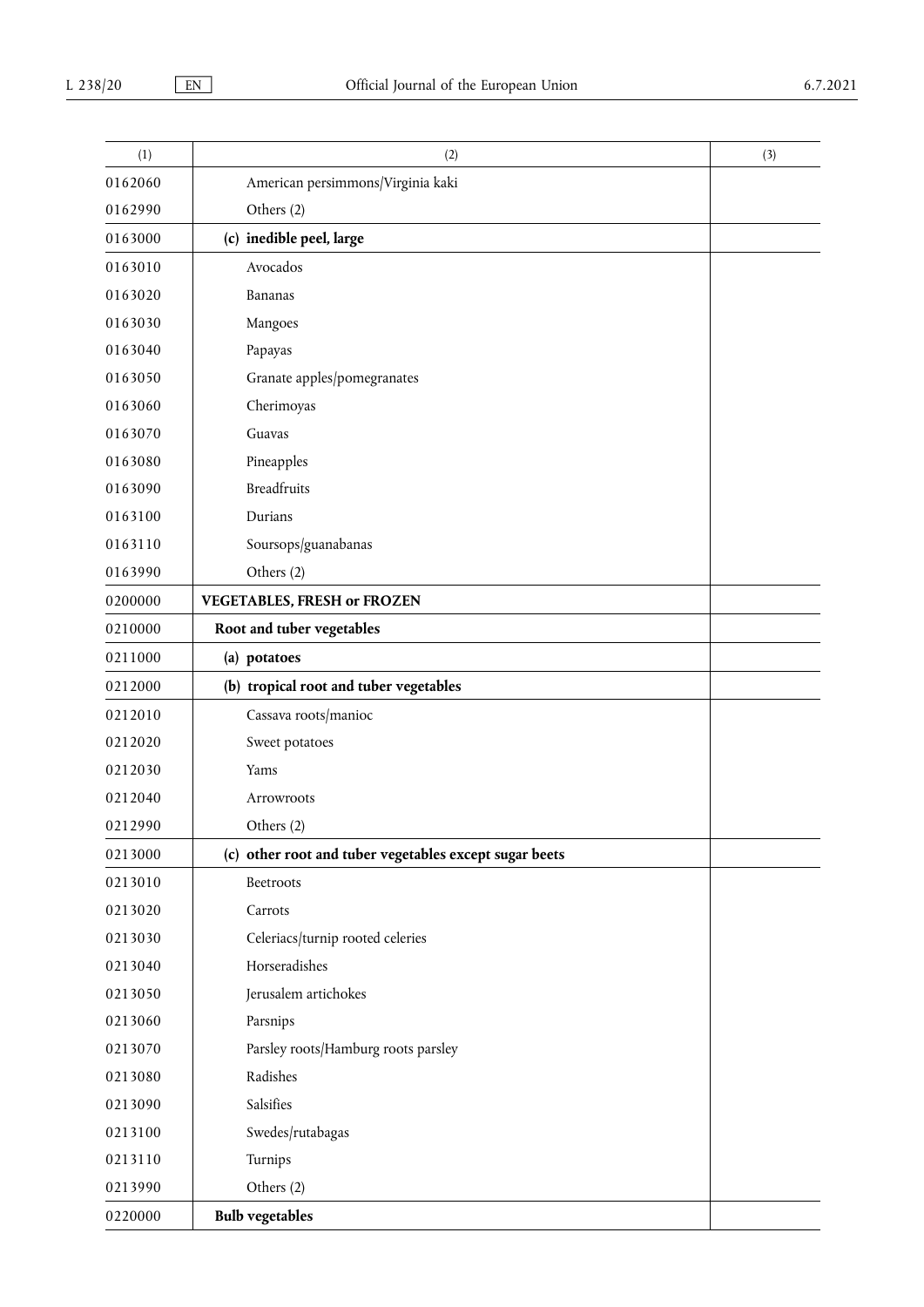| (1)     | (2)                                                    | (3) |
|---------|--------------------------------------------------------|-----|
| 0162060 | American persimmons/Virginia kaki                      |     |
| 0162990 | Others (2)                                             |     |
| 0163000 | (c) inedible peel, large                               |     |
| 0163010 | Avocados                                               |     |
| 0163020 | Bananas                                                |     |
| 0163030 | Mangoes                                                |     |
| 0163040 | Papayas                                                |     |
| 0163050 | Granate apples/pomegranates                            |     |
| 0163060 | Cherimoyas                                             |     |
| 0163070 | Guavas                                                 |     |
| 0163080 | Pineapples                                             |     |
| 0163090 | <b>Breadfruits</b>                                     |     |
| 0163100 | Durians                                                |     |
| 0163110 | Soursops/guanabanas                                    |     |
| 0163990 | Others (2)                                             |     |
| 0200000 | <b>VEGETABLES, FRESH or FROZEN</b>                     |     |
| 0210000 | Root and tuber vegetables                              |     |
| 0211000 | (a) potatoes                                           |     |
| 0212000 | (b) tropical root and tuber vegetables                 |     |
| 0212010 | Cassava roots/manioc                                   |     |
| 0212020 | Sweet potatoes                                         |     |
| 0212030 | Yams                                                   |     |
| 0212040 | Arrowroots                                             |     |
| 0212990 | Others (2)                                             |     |
| 0213000 | (c) other root and tuber vegetables except sugar beets |     |
| 0213010 | Beetroots                                              |     |
| 0213020 | Carrots                                                |     |
| 0213030 | Celeriacs/turnip rooted celeries                       |     |
| 0213040 | Horseradishes                                          |     |
| 0213050 | Jerusalem artichokes                                   |     |
| 0213060 | Parsnips                                               |     |
| 0213070 | Parsley roots/Hamburg roots parsley                    |     |
| 0213080 | Radishes                                               |     |
| 0213090 | Salsifies                                              |     |
| 0213100 | Swedes/rutabagas                                       |     |
| 0213110 | Turnips                                                |     |
| 0213990 | Others (2)                                             |     |
| 0220000 | <b>Bulb vegetables</b>                                 |     |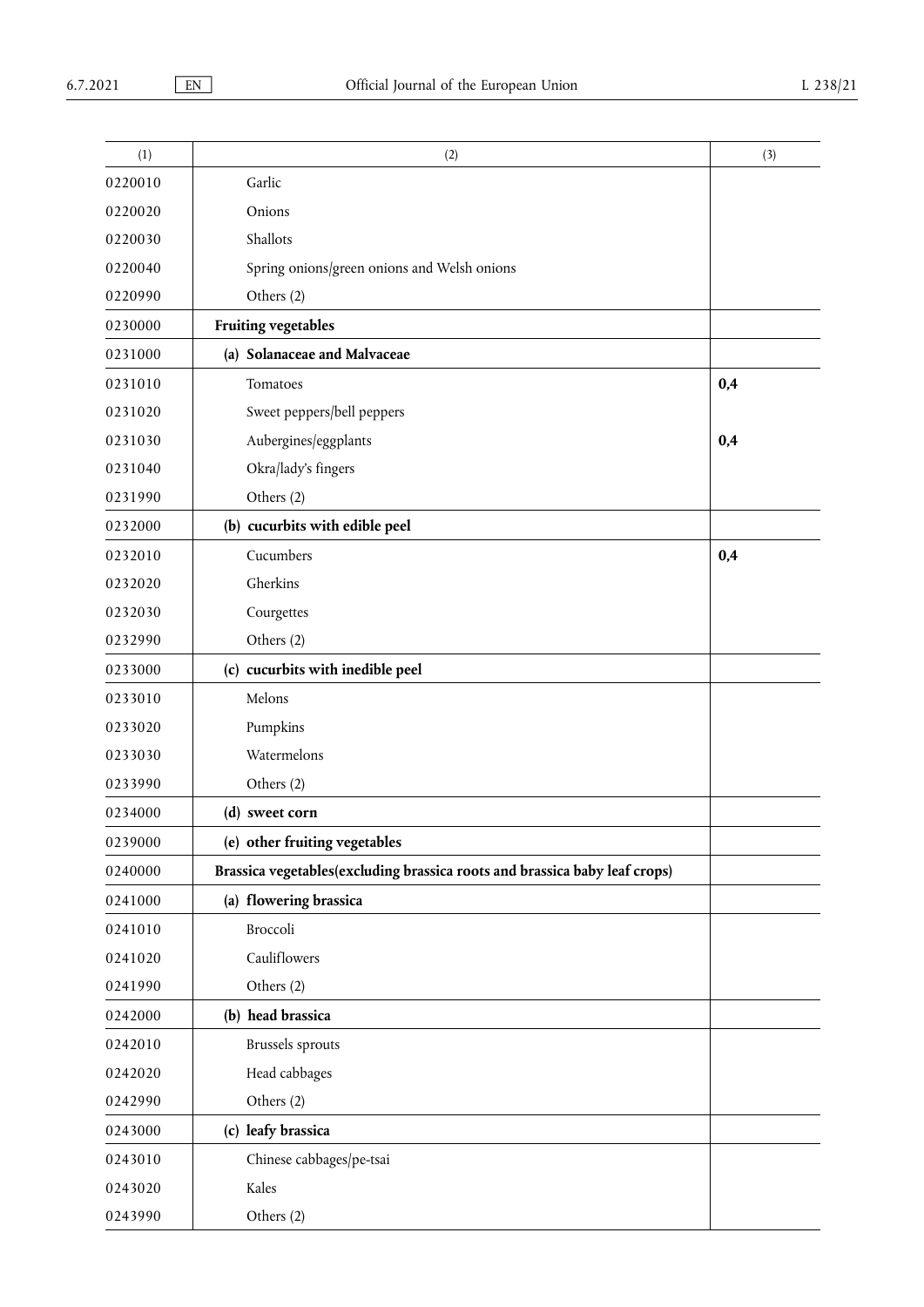| (1)     | (2)                                                                        | (3) |
|---------|----------------------------------------------------------------------------|-----|
| 0220010 | Garlic                                                                     |     |
| 0220020 | Onions                                                                     |     |
| 0220030 | Shallots                                                                   |     |
| 0220040 | Spring onions/green onions and Welsh onions                                |     |
| 0220990 | Others (2)                                                                 |     |
| 0230000 | <b>Fruiting vegetables</b>                                                 |     |
| 0231000 | (a) Solanaceae and Malvaceae                                               |     |
| 0231010 | Tomatoes                                                                   | 0,4 |
| 0231020 | Sweet peppers/bell peppers                                                 |     |
| 0231030 | Aubergines/eggplants                                                       | 0,4 |
| 0231040 | Okra/lady's fingers                                                        |     |
| 0231990 | Others (2)                                                                 |     |
| 0232000 | (b) cucurbits with edible peel                                             |     |
| 0232010 | Cucumbers                                                                  | 0,4 |
| 0232020 | Gherkins                                                                   |     |
| 0232030 | Courgettes                                                                 |     |
| 0232990 | Others (2)                                                                 |     |
| 0233000 | (c) cucurbits with inedible peel                                           |     |
| 0233010 | Melons                                                                     |     |
| 0233020 | Pumpkins                                                                   |     |
| 0233030 | Watermelons                                                                |     |
| 0233990 | Others (2)                                                                 |     |
| 0234000 | (d) sweet corn                                                             |     |
| 0239000 | (e) other fruiting vegetables                                              |     |
| 0240000 | Brassica vegetables(excluding brassica roots and brassica baby leaf crops) |     |
| 0241000 | (a) flowering brassica                                                     |     |
| 0241010 | Broccoli                                                                   |     |
| 0241020 | Cauliflowers                                                               |     |
| 0241990 | Others (2)                                                                 |     |
| 0242000 | (b) head brassica                                                          |     |
| 0242010 | <b>Brussels</b> sprouts                                                    |     |
| 0242020 | Head cabbages                                                              |     |
| 0242990 | Others (2)                                                                 |     |
| 0243000 | (c) leafy brassica                                                         |     |
| 0243010 | Chinese cabbages/pe-tsai                                                   |     |
| 0243020 | Kales                                                                      |     |
| 0243990 | Others (2)                                                                 |     |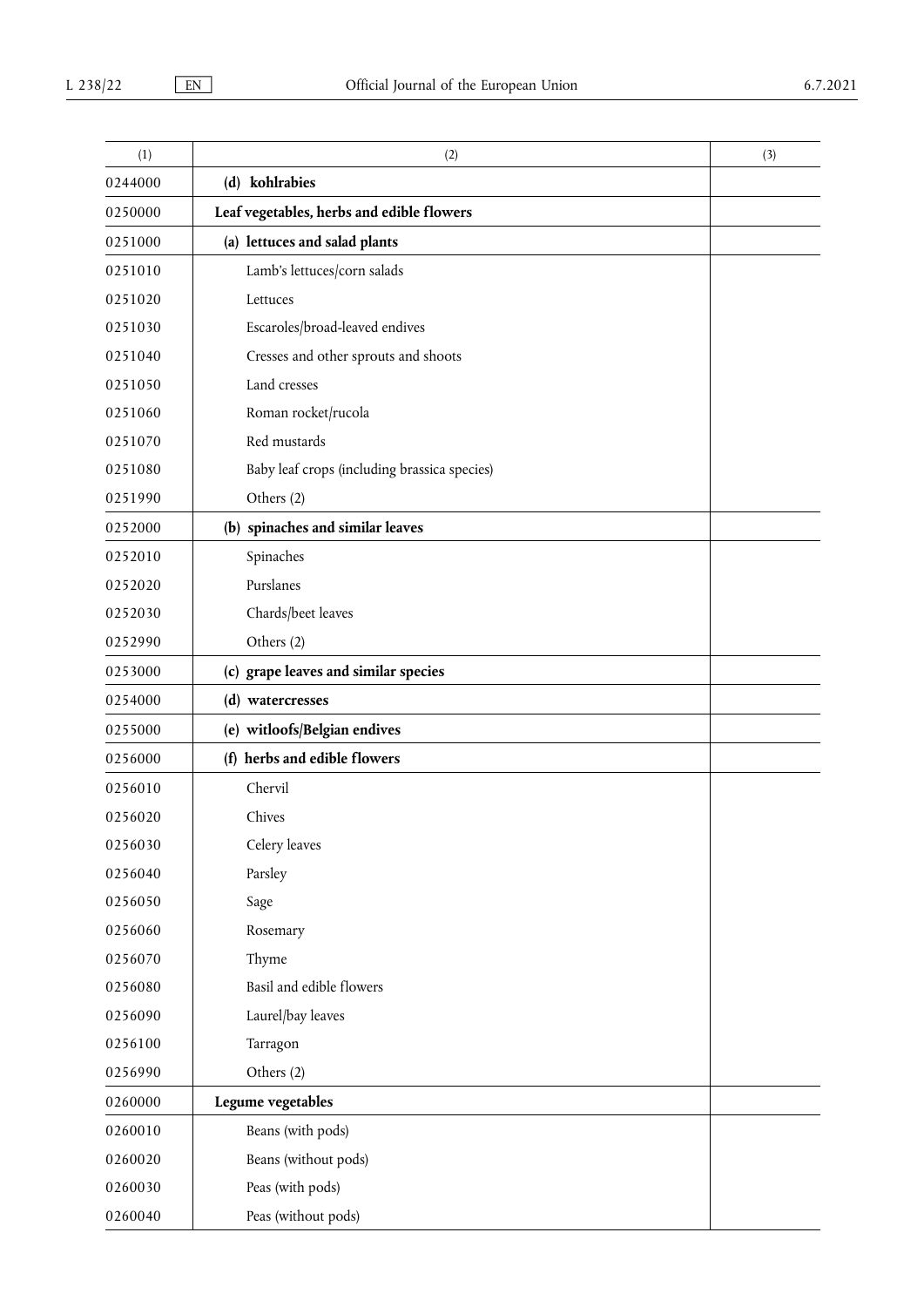| (1)     | (2)                                          | (3) |
|---------|----------------------------------------------|-----|
| 0244000 | (d) kohlrabies                               |     |
| 0250000 | Leaf vegetables, herbs and edible flowers    |     |
| 0251000 | (a) lettuces and salad plants                |     |
| 0251010 | Lamb's lettuces/corn salads                  |     |
| 0251020 | Lettuces                                     |     |
| 0251030 | Escaroles/broad-leaved endives               |     |
| 0251040 | Cresses and other sprouts and shoots         |     |
| 0251050 | Land cresses                                 |     |
| 0251060 | Roman rocket/rucola                          |     |
| 0251070 | Red mustards                                 |     |
| 0251080 | Baby leaf crops (including brassica species) |     |
| 0251990 | Others (2)                                   |     |
| 0252000 | (b) spinaches and similar leaves             |     |
| 0252010 | Spinaches                                    |     |
| 0252020 | Purslanes                                    |     |
| 0252030 | Chards/beet leaves                           |     |
| 0252990 | Others (2)                                   |     |
| 0253000 | (c) grape leaves and similar species         |     |
| 0254000 | (d) watercresses                             |     |
| 0255000 | (e) witloofs/Belgian endives                 |     |
| 0256000 | (f) herbs and edible flowers                 |     |
| 0256010 | Chervil                                      |     |
| 0256020 | Chives                                       |     |
| 0256030 | Celery leaves                                |     |
| 0256040 | Parsley                                      |     |
| 0256050 | Sage                                         |     |
| 0256060 | Rosemary                                     |     |
| 0256070 | Thyme                                        |     |
| 0256080 | Basil and edible flowers                     |     |
| 0256090 | Laurel/bay leaves                            |     |
| 0256100 | Tarragon                                     |     |
| 0256990 | Others (2)                                   |     |
| 0260000 | Legume vegetables                            |     |
| 0260010 | Beans (with pods)                            |     |
| 0260020 | Beans (without pods)                         |     |
| 0260030 | Peas (with pods)                             |     |
| 0260040 | Peas (without pods)                          |     |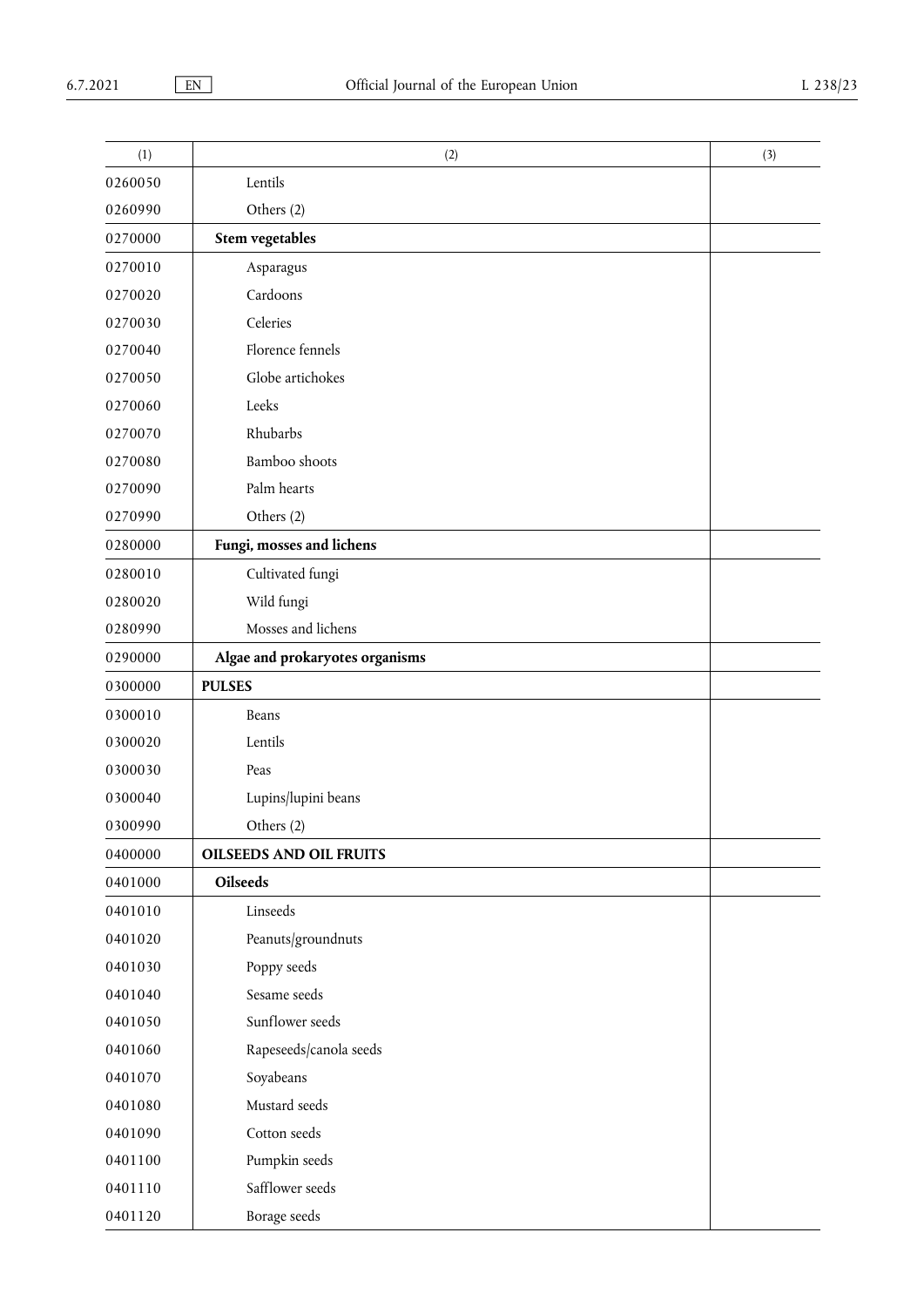| (1)     | (2)                             | (3) |
|---------|---------------------------------|-----|
| 0260050 | Lentils                         |     |
| 0260990 | Others (2)                      |     |
| 0270000 | <b>Stem vegetables</b>          |     |
| 0270010 | Asparagus                       |     |
| 0270020 | Cardoons                        |     |
| 0270030 | Celeries                        |     |
| 0270040 | Florence fennels                |     |
| 0270050 | Globe artichokes                |     |
| 0270060 | Leeks                           |     |
| 0270070 | Rhubarbs                        |     |
| 0270080 | Bamboo shoots                   |     |
| 0270090 | Palm hearts                     |     |
| 0270990 | Others (2)                      |     |
| 0280000 | Fungi, mosses and lichens       |     |
| 0280010 | Cultivated fungi                |     |
| 0280020 | Wild fungi                      |     |
| 0280990 | Mosses and lichens              |     |
| 0290000 | Algae and prokaryotes organisms |     |
| 0300000 | <b>PULSES</b>                   |     |
| 0300010 | Beans                           |     |
| 0300020 | Lentils                         |     |
| 0300030 | Peas                            |     |
| 0300040 | Lupins/lupini beans             |     |
| 0300990 | Others (2)                      |     |
| 0400000 | <b>OILSEEDS AND OIL FRUITS</b>  |     |
| 0401000 | Oilseeds                        |     |
| 0401010 | Linseeds                        |     |
| 0401020 | Peanuts/groundnuts              |     |
| 0401030 | Poppy seeds                     |     |
| 0401040 | Sesame seeds                    |     |
| 0401050 | Sunflower seeds                 |     |
| 0401060 | Rapeseeds/canola seeds          |     |
| 0401070 | Soyabeans                       |     |
| 0401080 | Mustard seeds                   |     |
| 0401090 | Cotton seeds                    |     |
| 0401100 | Pumpkin seeds                   |     |
| 0401110 | Safflower seeds                 |     |
| 0401120 | Borage seeds                    |     |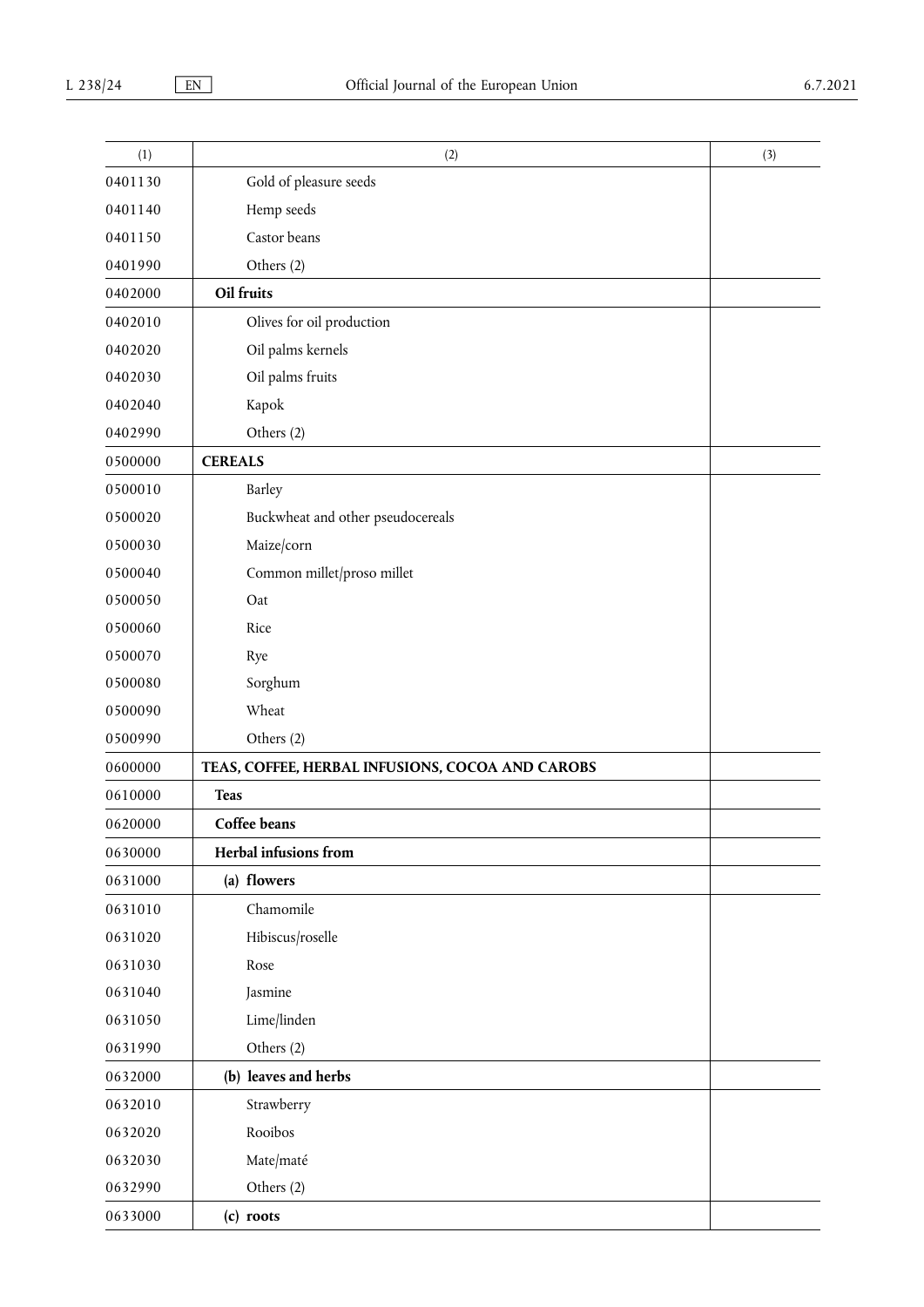| (1)     | (2)                                              | (3) |
|---------|--------------------------------------------------|-----|
| 0401130 | Gold of pleasure seeds                           |     |
| 0401140 | Hemp seeds                                       |     |
| 0401150 | Castor beans                                     |     |
| 0401990 | Others (2)                                       |     |
| 0402000 | Oil fruits                                       |     |
| 0402010 | Olives for oil production                        |     |
| 0402020 | Oil palms kernels                                |     |
| 0402030 | Oil palms fruits                                 |     |
| 0402040 | Kapok                                            |     |
| 0402990 | Others (2)                                       |     |
| 0500000 | <b>CEREALS</b>                                   |     |
| 0500010 | Barley                                           |     |
| 0500020 | Buckwheat and other pseudocereals                |     |
| 0500030 | Maize/corn                                       |     |
| 0500040 | Common millet/proso millet                       |     |
| 0500050 | Oat                                              |     |
| 0500060 | Rice                                             |     |
| 0500070 | Rye                                              |     |
| 0500080 | Sorghum                                          |     |
| 0500090 | Wheat                                            |     |
| 0500990 | Others (2)                                       |     |
| 0600000 | TEAS, COFFEE, HERBAL INFUSIONS, COCOA AND CAROBS |     |
| 0610000 | <b>Teas</b>                                      |     |
| 0620000 | Coffee beans                                     |     |
| 0630000 | Herbal infusions from                            |     |
| 0631000 | (a) flowers                                      |     |
| 0631010 | Chamomile                                        |     |
| 0631020 | Hibiscus/roselle                                 |     |
| 0631030 | Rose                                             |     |
| 0631040 | Jasmine                                          |     |
| 0631050 | Lime/linden                                      |     |
| 0631990 | Others (2)                                       |     |
| 0632000 | (b) leaves and herbs                             |     |
| 0632010 | Strawberry                                       |     |
| 0632020 | Rooibos                                          |     |
| 0632030 | Mate/maté                                        |     |
| 0632990 | Others (2)                                       |     |
| 0633000 | (c) roots                                        |     |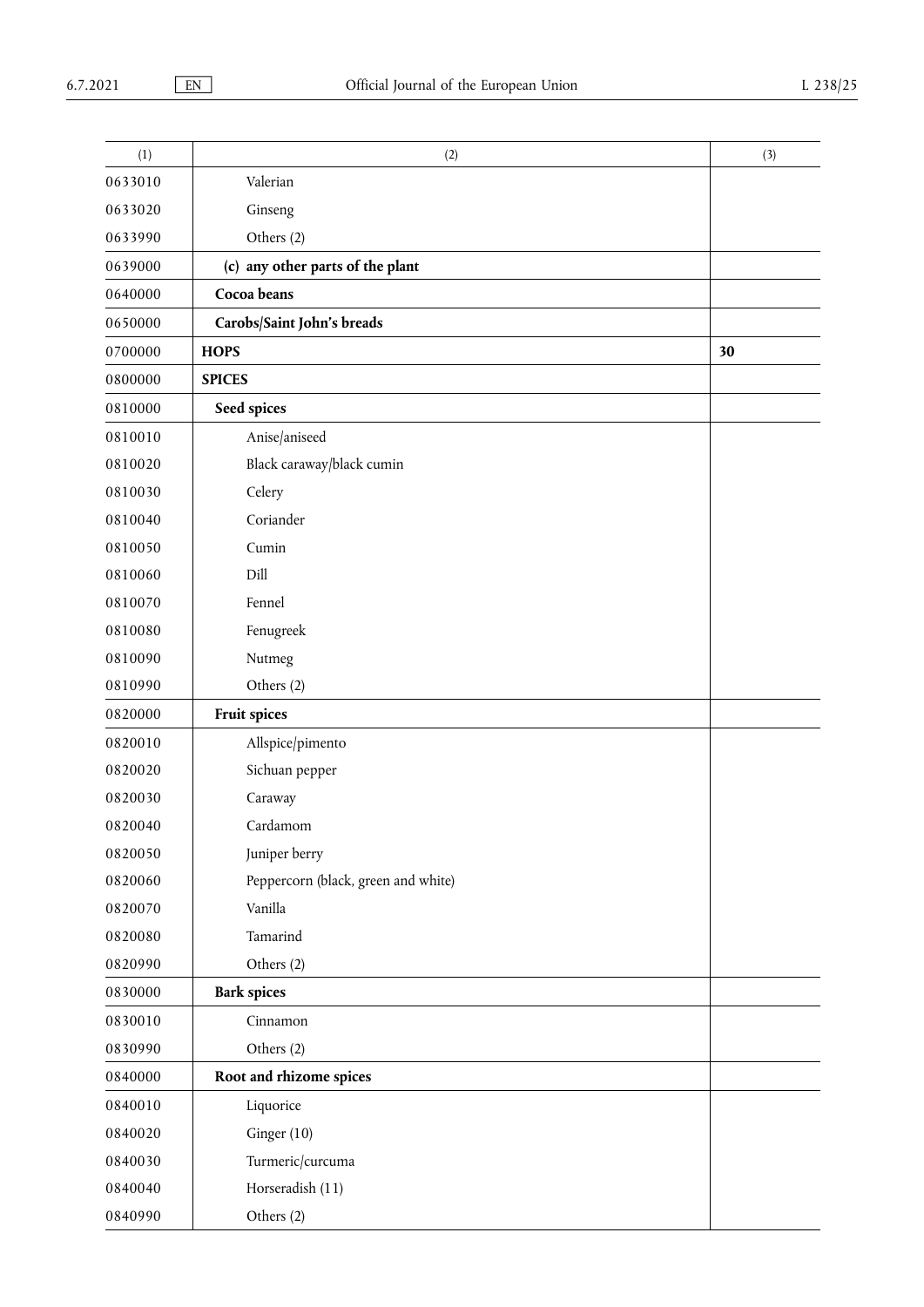| (1)     | (2)                                 | (3) |
|---------|-------------------------------------|-----|
| 0633010 | Valerian                            |     |
| 0633020 | Ginseng                             |     |
| 0633990 | Others (2)                          |     |
| 0639000 | (c) any other parts of the plant    |     |
| 0640000 | Cocoa beans                         |     |
| 0650000 | Carobs/Saint John's breads          |     |
| 0700000 | <b>HOPS</b>                         | 30  |
| 0800000 | <b>SPICES</b>                       |     |
| 0810000 | Seed spices                         |     |
| 0810010 | Anise/aniseed                       |     |
| 0810020 | Black caraway/black cumin           |     |
| 0810030 | Celery                              |     |
| 0810040 | Coriander                           |     |
| 0810050 | Cumin                               |     |
| 0810060 | Dill                                |     |
| 0810070 | Fennel                              |     |
| 0810080 | Fenugreek                           |     |
| 0810090 | Nutmeg                              |     |
| 0810990 | Others (2)                          |     |
| 0820000 | Fruit spices                        |     |
| 0820010 | Allspice/pimento                    |     |
| 0820020 | Sichuan pepper                      |     |
| 0820030 | Caraway                             |     |
| 0820040 | Cardamom                            |     |
| 0820050 | Juniper berry                       |     |
| 0820060 | Peppercorn (black, green and white) |     |
| 0820070 | Vanilla                             |     |
| 0820080 | Tamarind                            |     |
| 0820990 | Others (2)                          |     |
| 0830000 | <b>Bark spices</b>                  |     |
| 0830010 | Cinnamon                            |     |
| 0830990 | Others (2)                          |     |
| 0840000 | Root and rhizome spices             |     |
| 0840010 | Liquorice                           |     |
| 0840020 | Ginger (10)                         |     |
| 0840030 | Turmeric/curcuma                    |     |
| 0840040 | Horseradish (11)                    |     |
| 0840990 | Others (2)                          |     |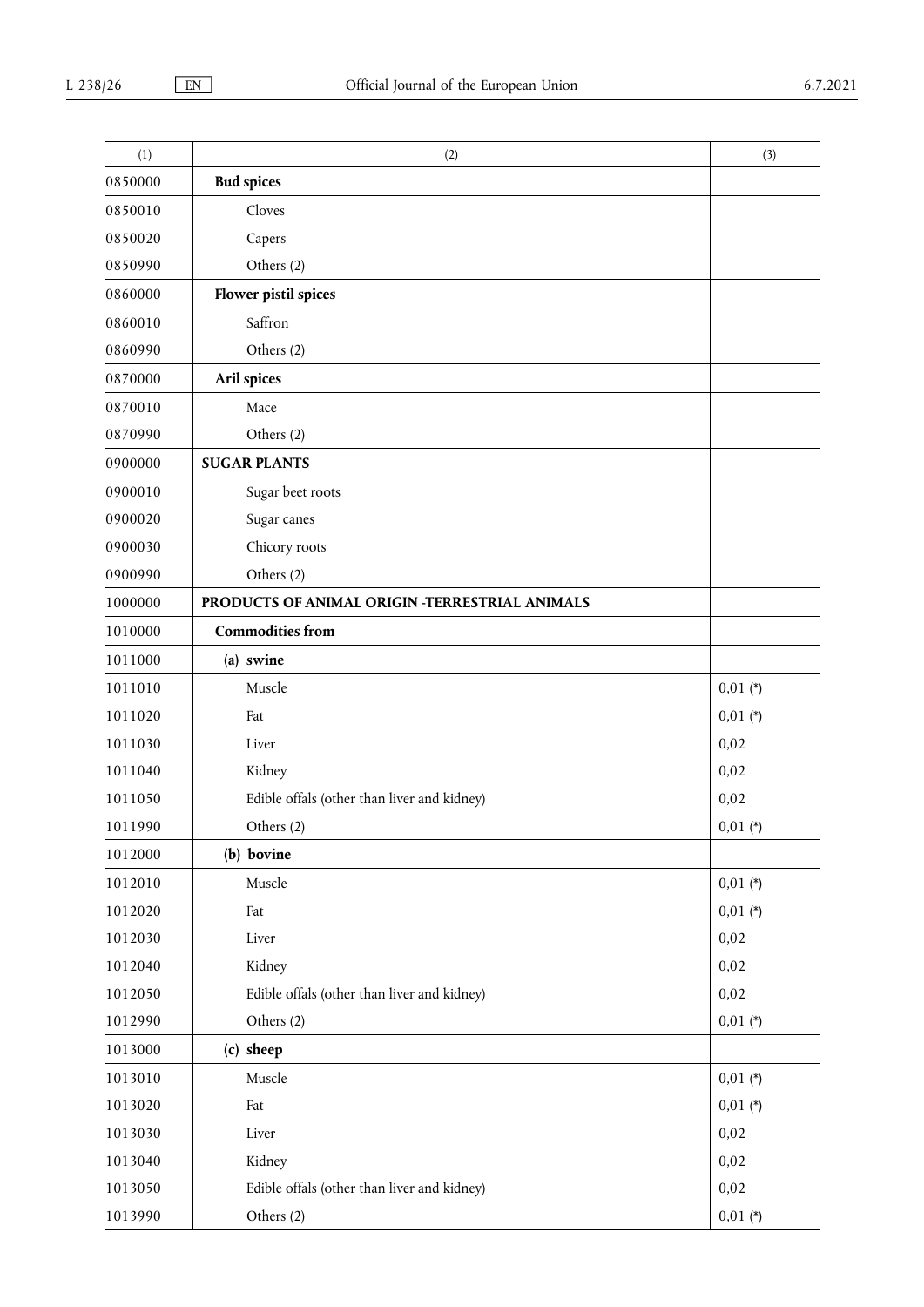| (1)     | (2)                                            | (3)        |
|---------|------------------------------------------------|------------|
| 0850000 | <b>Bud spices</b>                              |            |
| 0850010 | Cloves                                         |            |
| 0850020 | Capers                                         |            |
| 0850990 | Others (2)                                     |            |
| 0860000 | Flower pistil spices                           |            |
| 0860010 | Saffron                                        |            |
| 0860990 | Others (2)                                     |            |
| 0870000 | Aril spices                                    |            |
| 0870010 | Mace                                           |            |
| 0870990 | Others (2)                                     |            |
| 0900000 | <b>SUGAR PLANTS</b>                            |            |
| 0900010 | Sugar beet roots                               |            |
| 0900020 | Sugar canes                                    |            |
| 0900030 | Chicory roots                                  |            |
| 0900990 | Others (2)                                     |            |
| 1000000 | PRODUCTS OF ANIMAL ORIGIN -TERRESTRIAL ANIMALS |            |
| 1010000 | <b>Commodities from</b>                        |            |
| 1011000 | (a) swine                                      |            |
| 1011010 | Muscle                                         | $0,01 (*)$ |
| 1011020 | Fat                                            | $0,01$ (*) |
| 1011030 | Liver                                          | 0,02       |
| 1011040 | Kidney                                         | 0,02       |
| 1011050 | Edible offals (other than liver and kidney)    | 0,02       |
| 1011990 | Others (2)                                     | $0,01$ (*) |
| 1012000 | (b) bovine                                     |            |
| 1012010 | Muscle                                         | $0,01 (*)$ |
| 1012020 | Fat                                            | $0,01$ (*) |
| 1012030 | Liver                                          | 0,02       |
| 1012040 | Kidney                                         | 0,02       |
| 1012050 | Edible offals (other than liver and kidney)    | 0,02       |
| 1012990 | Others (2)                                     | $0,01$ (*) |
| 1013000 | (c) sheep                                      |            |
| 1013010 | Muscle                                         | $0,01$ (*) |
| 1013020 | Fat                                            | $0,01$ (*) |
| 1013030 | Liver                                          | 0,02       |
| 1013040 | Kidney                                         | 0,02       |
| 1013050 | Edible offals (other than liver and kidney)    | 0,02       |
| 1013990 | Others (2)                                     | $0,01 (*)$ |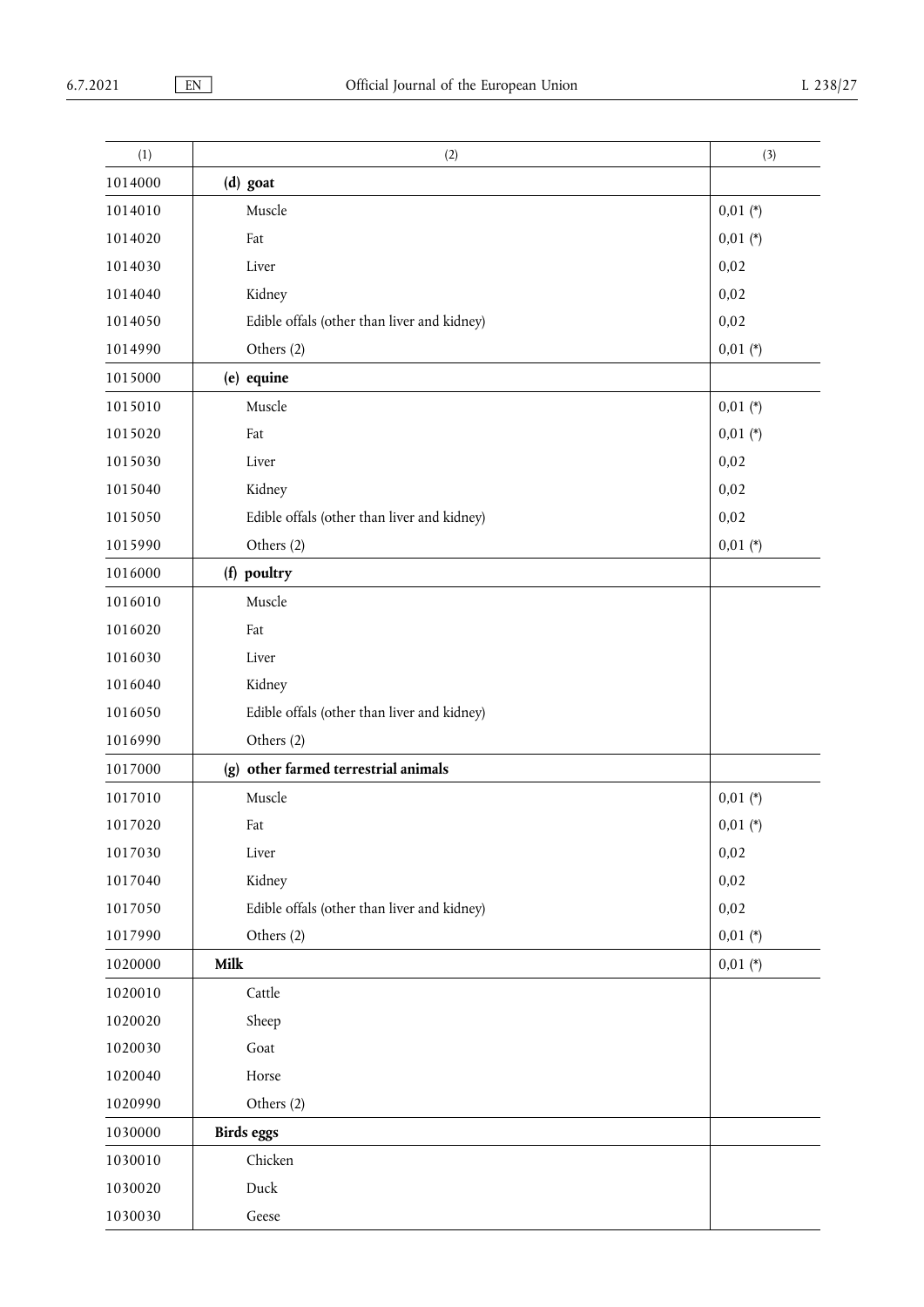| (1)     | (2)                                         | (3)        |
|---------|---------------------------------------------|------------|
| 1014000 | (d) goat                                    |            |
| 1014010 | Muscle                                      | $0,01$ (*) |
| 1014020 | Fat                                         | $0,01$ (*) |
| 1014030 | Liver                                       | 0,02       |
| 1014040 | Kidney                                      | 0,02       |
| 1014050 | Edible offals (other than liver and kidney) | 0,02       |
| 1014990 | Others (2)                                  | $0,01$ (*) |
| 1015000 | (e) equine                                  |            |
| 1015010 | Muscle                                      | $0,01$ (*) |
| 1015020 | Fat                                         | $0,01$ (*) |
| 1015030 | Liver                                       | 0,02       |
| 1015040 | Kidney                                      | 0,02       |
| 1015050 | Edible offals (other than liver and kidney) | 0,02       |
| 1015990 | Others (2)                                  | $0,01$ (*) |
| 1016000 | (f) poultry                                 |            |
| 1016010 | Muscle                                      |            |
| 1016020 | Fat                                         |            |
| 1016030 | Liver                                       |            |
| 1016040 | Kidney                                      |            |
| 1016050 | Edible offals (other than liver and kidney) |            |
| 1016990 | Others (2)                                  |            |
| 1017000 | (g) other farmed terrestrial animals        |            |
| 1017010 | Muscle                                      | $0,01$ (*) |
| 1017020 | Fat                                         | $0,01$ (*) |
| 1017030 | Liver                                       | 0,02       |
| 1017040 | Kidney                                      | 0,02       |
| 1017050 | Edible offals (other than liver and kidney) | 0,02       |
| 1017990 | Others (2)                                  | $0,01 (*)$ |
| 1020000 | Milk                                        | $0,01$ (*) |
| 1020010 | Cattle                                      |            |
| 1020020 | Sheep                                       |            |
| 1020030 | Goat                                        |            |
| 1020040 | Horse                                       |            |
| 1020990 | Others (2)                                  |            |
| 1030000 | <b>Birds eggs</b>                           |            |
| 1030010 | Chicken                                     |            |
| 1030020 | Duck                                        |            |
| 1030030 | Geese                                       |            |